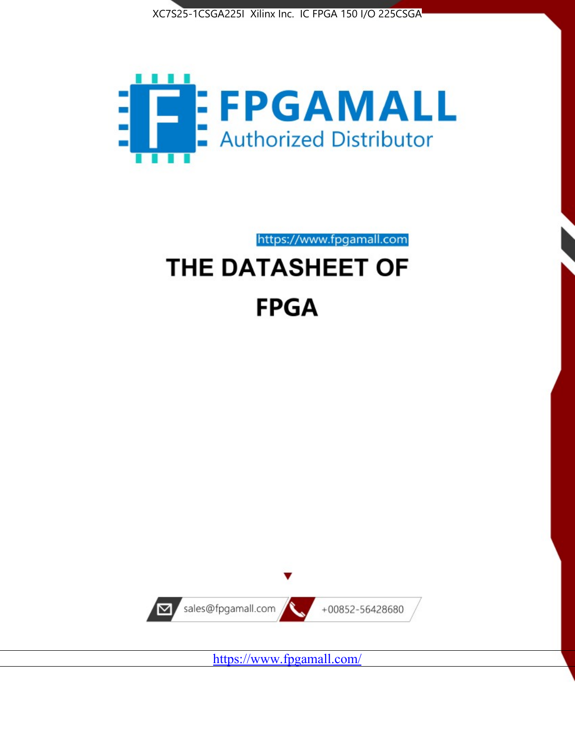



https://www.fpgamall.com

# THE DATASHEET OF **FPGA**



<https://www.fpgamall.com/>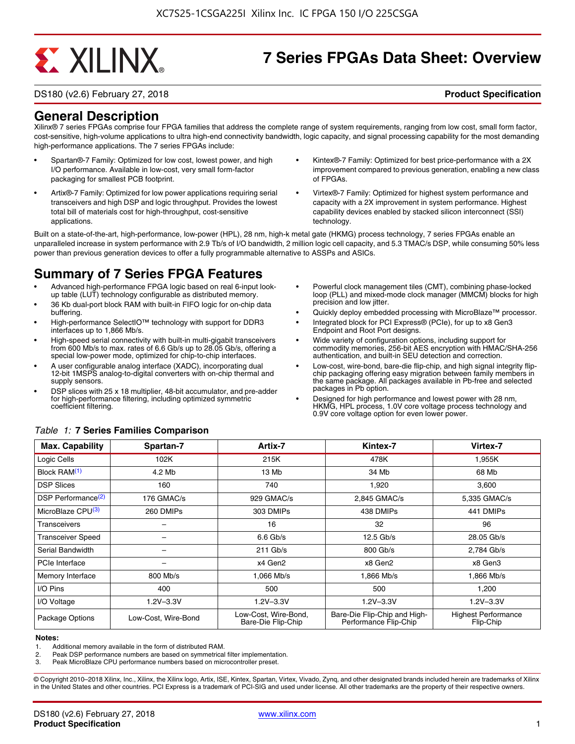# **EXALINX**

## **7 Series FPGAs Data Sheet: Overview**

DS180 (v2.6) February 27, 2018 **Product Specification**

### **General Description**

Xilinx® 7 series FPGAs comprise four FPGA families that address the complete range of system requirements, ranging from low cost, small form factor, cost-sensitive, high-volume applications to ultra high-end connectivity bandwidth, logic capacity, and signal processing capability for the most demanding high-performance applications. The 7 series FPGAs include:

- Spartan®-7 Family: Optimized for low cost, lowest power, and high I/O performance. Available in low-cost, very small form-factor packaging for smallest PCB footprint.
- Artix®-7 Family: Optimized for low power applications requiring serial transceivers and high DSP and logic throughput. Provides the lowest total bill of materials cost for high-throughput, cost-sensitive applications.
- Kintex®-7 Family: Optimized for best price-performance with a 2X improvement compared to previous generation, enabling a new class of FPGAs.
- Virtex®-7 Family: Optimized for highest system performance and capacity with a 2X improvement in system performance. Highest capability devices enabled by stacked silicon interconnect (SSI) technology

Built on a state-of-the-art, high-performance, low-power (HPL), 28 nm, high-k metal gate (HKMG) process technology, 7 series FPGAs enable an unparalleled increase in system performance with 2.9 Tb/s of I/O bandwidth, 2 million logic cell capacity, and 5.3 TMAC/s DSP, while consuming 50% less power than previous generation devices to offer a fully programmable alternative to ASSPs and ASICs.

### **Summary of 7 Series FPGA Features**

- Advanced high-performance FPGA logic based on real 6-input lookup table (LUT) technology configurable as distributed memory.
- 36 Kb dual-port block RAM with built-in FIFO logic for on-chip data buffering.
- High-performance SelectIO™ technology with support for DDR3 interfaces up to 1,866 Mb/s.
- High-speed serial connectivity with built-in multi-gigabit transceivers from 600 Mb/s to max. rates of 6.6 Gb/s up to 28.05 Gb/s, offering a special low-power mode, optimized for chip-to-chip interfaces.
- A user configurable analog interface (XADC), incorporating dual 12-bit 1MSPS analog-to-digital converters with on-chip thermal and supply sensors.
- DSP slices with 25 x 18 multiplier, 48-bit accumulator, and pre-adder for high-performance filtering, including optimized symmetric coefficient filtering.
- Powerful clock management tiles (CMT), combining phase-locked loop (PLL) and mixed-mode clock manager (MMCM) blocks for high precision and low jitter.
- Quickly deploy embedded processing with MicroBlaze™ processor.
- Integrated block for PCI Express® (PCIe), for up to x8 Gen3 Endpoint and Root Port designs.
- Wide variety of configuration options, including support for commodity memories, 256-bit AES encryption with HMAC/SHA-256 authentication, and built-in SEU detection and correction.
- Low-cost, wire-bond, bare-die flip-chip, and high signal integrity flipchip packaging offering easy migration between family members in the same package. All packages available in Pb-free and selected packages in Pb option.
- Designed for high performance and lowest power with 28 nm, HKMG, HPL process, 1.0V core voltage process technology and 0.9V core voltage option for even lower power.

| <b>Max. Capability</b>         | Spartan-7           | Artix-7                                    | Kintex-7                                              | Virtex-7                                |
|--------------------------------|---------------------|--------------------------------------------|-------------------------------------------------------|-----------------------------------------|
| Logic Cells                    | 102K                | 215K                                       | 478K                                                  | 1,955K                                  |
| Block RAM <sup>(1)</sup>       | 4.2 Mb              | 13 Mb                                      | 34 Mb                                                 | 68 Mb                                   |
| <b>DSP Slices</b>              | 160                 | 740                                        | 1,920                                                 | 3,600                                   |
| DSP Performance <sup>(2)</sup> | 176 GMAC/s          | 929 GMAC/s                                 | 2,845 GMAC/s                                          | 5,335 GMAC/s                            |
| MicroBlaze CPU <sup>(3)</sup>  | 260 DMIPs           | 303 DMIPs                                  | 438 DMIPs                                             | 441 DMIPs                               |
| Transceivers                   |                     | 16                                         | 32                                                    | 96                                      |
| <b>Transceiver Speed</b>       |                     | $6.6$ Gb/s                                 | $12.5$ Gb/s                                           | 28.05 Gb/s                              |
| Serial Bandwidth               |                     | $211$ Gb/s                                 | 800 Gb/s                                              | 2,784 Gb/s                              |
| PCIe Interface                 | -                   | x4 Gen2                                    | x8 Gen2                                               | x8 Gen3                                 |
| Memory Interface               | $800$ Mb/s          | 1.066 Mb/s                                 | 1.866 Mb/s                                            | 1.866 Mb/s                              |
| I/O Pins                       | 400                 | 500                                        | 500                                                   | 1,200                                   |
| I/O Voltage                    | $1.2V - 3.3V$       | $1.2V - 3.3V$                              | $1.2V - 3.3V$                                         | $1.2V - 3.3V$                           |
| Package Options                | Low-Cost, Wire-Bond | Low-Cost, Wire-Bond,<br>Bare-Die Flip-Chip | Bare-Die Flip-Chip and High-<br>Performance Flip-Chip | <b>Highest Performance</b><br>Flip-Chip |

#### *Table 1:* **7 Series Families Comparison**

#### **Notes:**

2. Peak DSP performance numbers are based on symmetrical filter implementation.<br>3. Peak MicroBlaze CPU performance numbers based on microcontroller preset.

Peak MicroBlaze CPU performance numbers based on microcontroller preset.

© Copyright 2010–2018 Xilinx, Inc., Xilinx, the Xilinx logo, Artix, ISE, Kintex, Spartan, Virtex, Vivado, Zynq, and other designated brands included herein are trademarks of Xilinx in the United States and other countries. PCI Express is a trademark of PCI-SIG and used under license. All other trademarks are the property of their respective owners.

<sup>1.</sup> Additional memory available in the form of distributed RAM.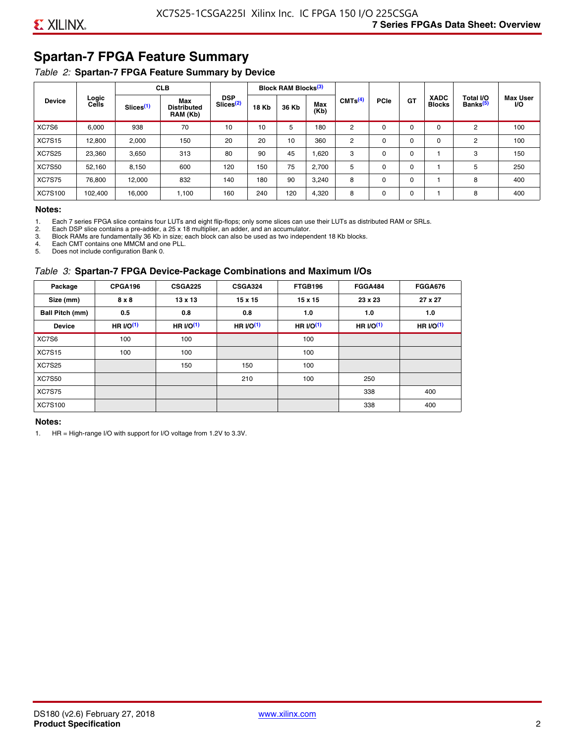### **Spartan-7 FPGA Feature Summary**

#### *Table 2:* **Spartan-7 FPGA Feature Summary by Device**

|               |                |                       | <b>CLB</b>                            |                                     |              | <b>Block RAM Blocks</b> <sup>(3)</sup> |                                                     |             |           |                              |                                   |                              |     |
|---------------|----------------|-----------------------|---------------------------------------|-------------------------------------|--------------|----------------------------------------|-----------------------------------------------------|-------------|-----------|------------------------------|-----------------------------------|------------------------------|-----|
| <b>Device</b> | Logic<br>Cells | Slices <sup>(1)</sup> | Max<br><b>Distributed</b><br>RAM (Kb) | <b>DSP</b><br>Slices <sup>(2)</sup> | <b>18 Kb</b> | 36 Kb                                  | CMTS <sup>(4)</sup><br>Max<br>(Kb)<br>5<br>180<br>2 | <b>PCle</b> | <b>GT</b> | <b>XADC</b><br><b>Blocks</b> | Total I/O<br>Banks <sup>(5)</sup> | <b>Max User</b><br><b>VO</b> |     |
| XC7S6         | 6,000          | 938                   | 70                                    | 10                                  | 10           |                                        |                                                     |             | $\Omega$  | 0                            | 0                                 | 2                            | 100 |
| <b>XC7S15</b> | 12,800         | 2,000                 | 150                                   | 20                                  | 20           | 10                                     | 360                                                 | 2           | $\Omega$  | $\mathbf 0$                  | 0                                 | 2                            | 100 |
| <b>XC7S25</b> | 23,360         | 3,650                 | 313                                   | 80                                  | 90           | 45                                     | 1,620                                               | 3           | 0         | 0                            |                                   | 3                            | 150 |
| <b>XC7S50</b> | 52,160         | 8,150                 | 600                                   | 120                                 | 150          | 75                                     | 2,700                                               | 5           | $\Omega$  | 0                            |                                   | 5                            | 250 |
| <b>XC7S75</b> | 76,800         | 12,000                | 832                                   | 140                                 | 180          | 90                                     | 3,240                                               | 8           | 0         | 0                            |                                   | 8                            | 400 |
| XC7S100       | 102,400        | 16.000                | 1,100                                 | 160                                 | 240          | 120                                    | 4,320                                               | 8           | 0         | 0                            |                                   | 8                            | 400 |

#### **Notes:**

1. Each 7 series FPGA slice contains four LUTs and eight flip-flops; only some slices can use their LUTs as distributed RAM or SRLs.<br>2. Each DSP slice contains a pre-adder. a 25 x 18 multiplier. an adder. and an accumulato

2. Each DSP slice contains a pre-adder, a 25 x 18 multiplier, an adder, and an accumulator. 3. Block RAMs are fundamentally 36 Kb in size; each block can also be used as two independent 18 Kb blocks.

4. Each CMT contains one MMCM and one PLL.

5. Does not include configuration Bank 0.

#### *Table 3:* **Spartan-7 FPGA Device-Package Combinations and Maximum I/Os**

| Package         | CPGA196    | <b>CSGA225</b> | <b>CSGA324</b> | FTGB196     | <b>FGGA484</b> | <b>FGGA676</b> |
|-----------------|------------|----------------|----------------|-------------|----------------|----------------|
| Size (mm)       | 8 x 8      | $13 \times 13$ | 15 x 15        | 15 x 15     | 23 x 23        | 27 x 27        |
| Ball Pitch (mm) | 0.5        | 0.8            | 0.8            | 1.0         | 1.0            | 1.0            |
| <b>Device</b>   | HR $l$ (1) | HR $UO(1)$     | HR $UO(1)$     | HR $l/O(1)$ | HR $I/O(1)$    | HR $l/O(1)$    |
| XC7S6           | 100        | 100            |                | 100         |                |                |
| <b>XC7S15</b>   | 100        | 100            |                | 100         |                |                |
| <b>XC7S25</b>   |            | 150            | 150            | 100         |                |                |
| <b>XC7S50</b>   |            |                | 210            | 100         | 250            |                |
| <b>XC7S75</b>   |            |                |                |             | 338            | 400            |
| <b>XC7S100</b>  |            |                |                |             | 338            | 400            |

#### **Notes:**

1. HR = High-range I/O with support for I/O voltage from 1.2V to 3.3V.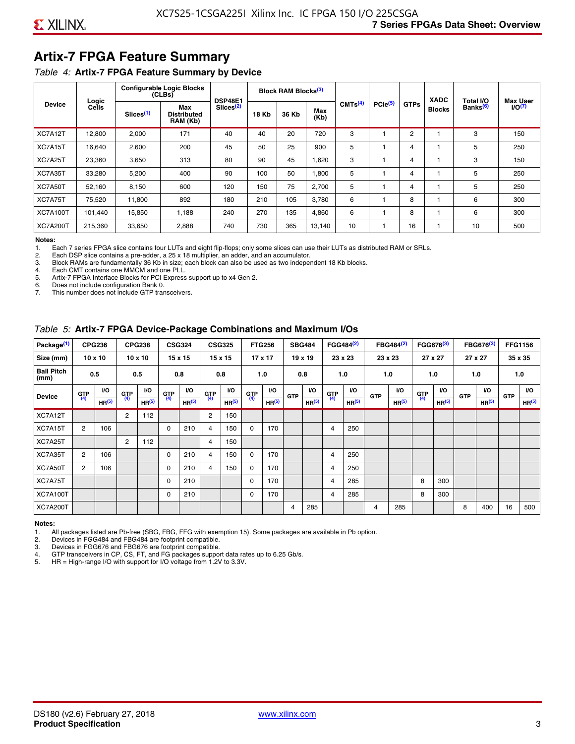### **Artix-7 FPGA Feature Summary**

#### *Table 4:* **Artix-7 FPGA Feature Summary by Device**

|                 |                |                       | <b>Configurable Logic Blocks</b><br>(CLBs) | <b>DSP48E1</b>        |              | Block RAM Blocks <sup>(3)</sup> |             |                     |                     |             | <b>XADC</b>   | Total I/O            | <b>Max User</b>    |
|-----------------|----------------|-----------------------|--------------------------------------------|-----------------------|--------------|---------------------------------|-------------|---------------------|---------------------|-------------|---------------|----------------------|--------------------|
| <b>Device</b>   | Logic<br>Cells | Slices <sup>(1)</sup> | Max<br><b>Distributed</b><br>RAM (Kb)      | Slices <sup>(2)</sup> | <b>18 Kb</b> | 36 Kb                           | Max<br>(Kb) | CMTS <sup>(4)</sup> | PCle <sup>(5)</sup> | <b>GTPs</b> | <b>Blocks</b> | Banks <sup>(6)</sup> | I/O <sub>(7)</sub> |
| XC7A12T         | 12,800         | 2,000                 | 171                                        | 40                    | 40           | 20                              | 720         | 3                   |                     | 2           |               | 3                    | 150                |
| XC7A15T         | 16,640         | 2,600                 | 200                                        | 45                    | 50           | 25                              | 900         | 5                   |                     | 4           |               | 5                    | 250                |
| XC7A25T         | 23,360         | 3,650                 | 313                                        | 80                    | 90           | 45                              | 1,620       | 3                   |                     | 4           |               | 3                    | 150                |
| XC7A35T         | 33,280         | 5,200                 | 400                                        | 90                    | 100          | 50                              | 1,800       | 5                   |                     | 4           |               | 5                    | 250                |
| XC7A50T         | 52,160         | 8,150                 | 600                                        | 120                   | 150          | 75                              | 2.700       | 5                   |                     | 4           |               | 5                    | 250                |
| XC7A75T         | 75,520         | 11,800                | 892                                        | 180                   | 210          | 105                             | 3,780       | 6                   |                     | 8           |               | 6                    | 300                |
| <b>XC7A100T</b> | 101.440        | 15,850                | 1.188                                      | 240                   | 270          | 135                             | 4,860       | 6                   |                     | 8           |               | 6                    | 300                |
| <b>XC7A200T</b> | 215,360        | 33,650                | 2,888                                      | 740                   | 730          | 365                             | 13,140      | 10                  |                     | 16          |               | 10                   | 500                |

**Notes:**  Each 7 series FPGA slice contains four LUTs and eight flip-flops; only some slices can use their LUTs as distributed RAM or SRLs.

2. Each DSP slice contains a pre-adder, a 25 x 18 multiplier, an adder, and an accumulator.

3. Block RAMs are fundamentally 36 Kb in size; each block can also be used as two independent 18 Kb blocks.

4. Each CMT contains one MMCM and one PLL.<br>5. Artix-7 FPGA Interface Blocks for PCI Express

5. Artix-7 FPGA Interface Blocks for PCI Express support up to x4 Gen 2.<br>6. Does not include configuration Bank 0.

6. Does not include configuration Bank 0.

This number does not include GTP transceivers.

#### *Table 5:* **Artix-7 FPGA Device-Package Combinations and Maximum I/Os**

| Package <sup>(1)</sup>    |            | <b>CPG236</b>     |                | <b>CPG238</b>  |            | <b>CSG324</b> |                | <b>CSG325</b>     |       | <b>FTG256</b>     |            | <b>SBG484</b>     |                | FGG484 <sup>(2)</sup> |                | FBG484 <sup>(2)</sup> |       | FGG676 <sup>(3)</sup> |            | FBG676 <sup>(3)</sup> |            | <b>FFG1156</b> |
|---------------------------|------------|-------------------|----------------|----------------|------------|---------------|----------------|-------------------|-------|-------------------|------------|-------------------|----------------|-----------------------|----------------|-----------------------|-------|-----------------------|------------|-----------------------|------------|----------------|
| Size (mm)                 |            | $10 \times 10$    |                | $10 \times 10$ |            | 15 x 15       |                | 15 x 15           |       | $17 \times 17$    |            | $19 \times 19$    |                | 23 x 23               |                | 23 x 23               |       | 27 x 27               |            | 27 x 27               |            | 35 x 35        |
| <b>Ball Pitch</b><br>(mm) |            | 0.5               |                | 0.5            |            | 0.8           | 0.8            |                   |       | 1.0               |            | 0.8               |                | 1.0                   |                | 1.0                   |       | 1.0                   |            | 1.0                   |            | 1.0            |
| <b>Device</b>             | <b>GTP</b> | <b>VO</b>         | <b>GTP</b>     | <b>VO</b>      | <b>GTP</b> | <b>VO</b>     | <b>GTP</b>     | <b>VO</b>         | G(TP) | VO.               | <b>GTP</b> | VO.               | G(TP)          | <b>VO</b>             | <b>GTP</b>     | <b>VO</b>             | G(TP) | <b>VO</b>             | <b>GTP</b> | <b>VO</b>             | <b>GTP</b> | <b>VO</b>      |
|                           | (4)        | HR <sup>(5)</sup> | (4)            | HR(5)          | (4)        | HP(5)         | (4)            | HR <sup>(5)</sup> |       | HR <sup>(5)</sup> |            | HR <sup>(5)</sup> |                | HR <sup>(5)</sup>     |                | HR <sup>(5)</sup>     |       | HR <sup>(5)</sup>     |            | HR <sup>(5)</sup>     |            | HR(5)          |
| XC7A12T                   |            |                   | $\overline{2}$ | 112            |            |               | $\overline{2}$ | 150               |       |                   |            |                   |                |                       |                |                       |       |                       |            |                       |            |                |
| XC7A15T                   | 2          | 106               |                |                | 0          | 210           | 4              | 150               | 0     | 170               |            |                   | $\overline{4}$ | 250                   |                |                       |       |                       |            |                       |            |                |
| XC7A25T                   |            |                   | 2              | 112            |            |               | 4              | 150               |       |                   |            |                   |                |                       |                |                       |       |                       |            |                       |            |                |
| XC7A35T                   | 2          | 106               |                |                | 0          | 210           | 4              | 150               | 0     | 170               |            |                   | 4              | 250                   |                |                       |       |                       |            |                       |            |                |
| XC7A50T                   | 2          | 106               |                |                | 0          | 210           | 4              | 150               | 0     | 170               |            |                   | 4              | 250                   |                |                       |       |                       |            |                       |            |                |
| XC7A75T                   |            |                   |                |                | 0          | 210           |                |                   | 0     | 170               |            |                   | 4              | 285                   |                |                       | 8     | 300                   |            |                       |            |                |
| <b>XC7A100T</b>           |            |                   |                |                | 0          | 210           |                |                   | 0     | 170               |            |                   | $\overline{4}$ | 285                   |                |                       | 8     | 300                   |            |                       |            |                |
| <b>XC7A200T</b>           |            |                   |                |                |            |               |                |                   |       |                   | 4          | 285               |                |                       | $\overline{4}$ | 285                   |       |                       | 8          | 400                   | 16         | 500            |

#### **Notes:**

1. All packages listed are Pb-free (SBG, FBG, FFG with exemption 15). Some packages are available in Pb option.

2. Devices in FGG484 and FBG484 are footprint compatible.

3. Devices in FGG676 and FBG676 are footprint compatible.

4. GTP transceivers in CP, CS, FT, and FG packages support data rates up to 6.25 Gb/s.<br>5. HR = High-range I/O with support for I/O voltage from 1.2V to 3.3V.

HR = High-range I/O with support for I/O voltage from 1.2V to 3.3V.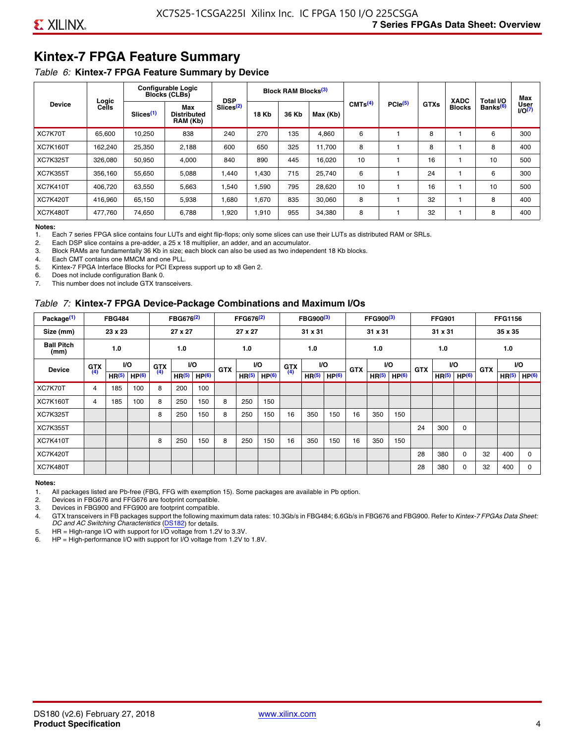### **Kintex-7 FPGA Feature Summary**

#### *Table 6:* **Kintex-7 FPGA Feature Summary by Device**

|                 |                |                       | <b>Configurable Logic</b><br><b>Blocks (CLBs)</b> | <b>DSP</b>            |              | <b>Block RAM Blocks</b> <sup>(3)</sup> |          |                     |              |             | <b>XADC</b>   | Total I/O            | Max                 |
|-----------------|----------------|-----------------------|---------------------------------------------------|-----------------------|--------------|----------------------------------------|----------|---------------------|--------------|-------------|---------------|----------------------|---------------------|
| <b>Device</b>   | Logic<br>Cells | Slices <sup>(1)</sup> | Max<br><b>Distributed</b><br>RAM (Kb)             | Slices <sup>(2)</sup> | <b>18 Kb</b> | 36 Kb                                  | Max (Kb) | CMTS <sup>(4)</sup> | $PCle^{(5)}$ | <b>GTXs</b> | <b>Blocks</b> | Banks <sup>(6)</sup> | User<br>$U$ O $(7)$ |
| XC7K70T         | 65,600         | 10,250                | 838                                               | 240                   | 270          | 135                                    | 4,860    | 6                   |              | 8           |               | 6                    | 300                 |
| <b>XC7K160T</b> | 162,240        | 25,350                | 2,188                                             | 600                   | 650          | 325                                    | 11,700   | 8                   |              | 8           |               | 8                    | 400                 |
| <b>XC7K325T</b> | 326.080        | 50.950                | 4,000                                             | 840                   | 890          | 445                                    | 16,020   | 10                  |              | 16          |               | 10                   | 500                 |
| <b>XC7K355T</b> | 356.160        | 55,650                | 5,088                                             | 1,440                 | 1.430        | 715                                    | 25,740   | 6                   |              | 24          |               | 6                    | 300                 |
| <b>XC7K410T</b> | 406,720        | 63,550                | 5,663                                             | 1,540                 | 1,590        | 795                                    | 28,620   | 10                  |              | 16          |               | 10                   | 500                 |
| <b>XC7K420T</b> | 416,960        | 65,150                | 5,938                                             | 1,680                 | 1,670        | 835                                    | 30,060   | 8                   |              | 32          |               | 8                    | 400                 |
| <b>XC7K480T</b> | 477.760        | 74,650                | 6,788                                             | 1,920                 | 1,910        | 955                                    | 34,380   | 8                   |              | 32          |               | 8                    | 400                 |

#### **Notes:**

1. Each 7 series FPGA slice contains four LUTs and eight flip-flops; only some slices can use their LUTs as distributed RAM or SRLs.<br>2. Each DSP slice contains a pre-adder, a 25 x 18 multiplier, an adder, and an accumulato

Each DSP slice contains a pre-adder, a 25 x 18 multiplier, an adder, and an accumulator.

3. Block RAMs are fundamentally 36 Kb in size; each block can also be used as two independent 18 Kb blocks.

4. Each CMT contains one MMCM and one PLL.

5. Kintex-7 FPGA Interface Blocks for PCI Express support up to x8 Gen 2.

6. Does not include configuration Bank 0.

7. This number does not include GTX transceivers.

#### *Table 7:* **Kintex-7 FPGA Device-Package Combinations and Maximum I/Os**

| Package <sup>(1)</sup>    |            | <b>FBG484</b>     |                   |            | FBG676 <sup>(2)</sup> |                   |            | FFG676 <sup>(2)</sup> |                   |            | FBG900 <sup>(3)</sup> |           |            | FFG900 <sup>(3)</sup> |                   |            | <b>FFG901</b>     |                   |            | <b>FFG1156</b>    |                   |
|---------------------------|------------|-------------------|-------------------|------------|-----------------------|-------------------|------------|-----------------------|-------------------|------------|-----------------------|-----------|------------|-----------------------|-------------------|------------|-------------------|-------------------|------------|-------------------|-------------------|
| Size (mm)                 |            | 23 x 23           |                   |            | 27 x 27               |                   |            | 27 x 27               |                   |            | 31 x 31               |           |            | 31 x 31               |                   |            | 31 x 31           |                   |            | 35 x 35           |                   |
| <b>Ball Pitch</b><br>(mm) |            | 1.0               |                   |            | 1.0<br><b>VO</b>      |                   |            | 1.0                   |                   |            | 1.0                   |           |            | 1.0                   |                   |            | 1.0               |                   |            | 1.0               |                   |
| <b>Device</b>             | <b>GTX</b> |                   | VO.               | <b>GTX</b> |                       |                   | <b>GTX</b> |                       | <b>VO</b>         | <b>GTX</b> |                       | <b>VO</b> | <b>GTX</b> | <b>VO</b>             |                   | <b>GTX</b> |                   | VO                | <b>GTX</b> | <b>VO</b>         |                   |
|                           | (4)        | HR <sup>(5)</sup> | HP <sup>(6)</sup> | (4)        | HR <sup>(5)</sup>     | HP <sup>(6)</sup> |            | HR <sup>(5)</sup>     | HP <sup>(6)</sup> | (4)        | HR <sup>(5)</sup>     | HP(6)     |            | HR <sup>(5)</sup>     | HP <sup>(6)</sup> |            | HR <sup>(5)</sup> | HP <sup>(6)</sup> |            | HR <sup>(5)</sup> | HP <sup>(6)</sup> |
| XC7K70T                   | 4          | 185               | 100               | 8          | 200                   | 100               |            |                       |                   |            |                       |           |            |                       |                   |            |                   |                   |            |                   |                   |
| <b>XC7K160T</b>           | 4          | 185               | 100               | 8          | 250                   | 150               | 8          | 250                   | 150               |            |                       |           |            |                       |                   |            |                   |                   |            |                   |                   |
| <b>XC7K325T</b>           |            |                   |                   | 8          | 250                   | 150               | 8          | 250                   | 150               | 16         | 350                   | 150       | 16         | 350                   | 150               |            |                   |                   |            |                   |                   |
| <b>XC7K355T</b>           |            |                   |                   |            |                       |                   |            |                       |                   |            |                       |           |            |                       |                   | 24         | 300               | 0                 |            |                   |                   |
| <b>XC7K410T</b>           |            |                   |                   | 8          | 250                   | 150               | 8          | 250                   | 150               | 16         | 350                   | 150       | 16         | 350                   | 150               |            |                   |                   |            |                   |                   |
| <b>XC7K420T</b>           |            |                   |                   |            |                       |                   |            |                       |                   |            |                       |           |            |                       |                   | 28         | 380               | $\Omega$          | 32         | 400               | $\Omega$          |
| <b>XC7K480T</b>           |            |                   |                   |            |                       |                   |            |                       |                   |            |                       |           |            |                       |                   | 28         | 380               | 0                 | 32         | 400               | $\Omega$          |

#### **Notes:**

1. All packages listed are Pb-free (FBG, FFG with exemption 15). Some packages are available in Pb option.

2. Devices in FBG676 and FFG676 are footprint compatible.

3. Devices in FBG900 and FFG900 are footprint compatible. 4. GTX transceivers in FB packages support the following maximum data rates: 10.3Gb/s in FBG484; 6.6Gb/s in FBG676 and FBG900. Refer to *Kintex-7 FPGAs Data Sheet: DC and AC Switching Characteristics* [\(DS182](https://www.xilinx.com/support/documentation/data_sheets/ds182_Kintex_7_Data_Sheet.pdf)) for details.

5. HR = High-range I/O with support for I/O voltage from 1.2V to 3.3V.

6. HP = High-performance I/O with support for I/O voltage from 1.2V to 1.8V.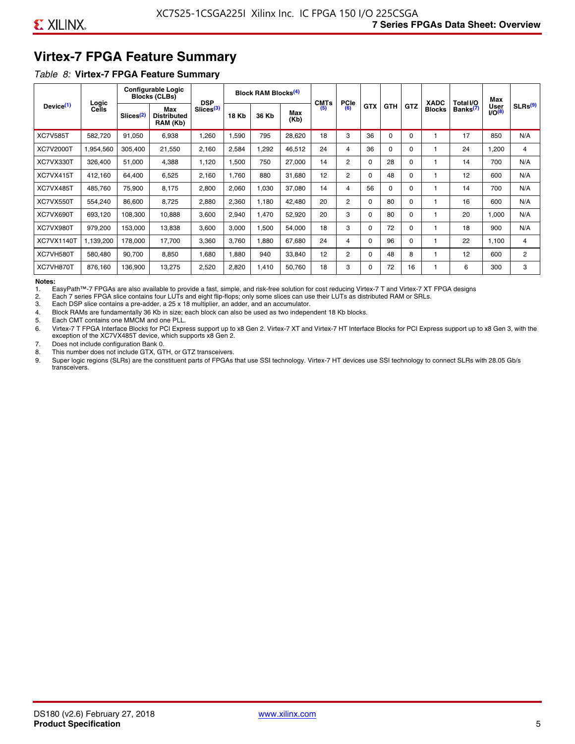### **Virtex-7 FPGA Feature Summary**

#### *Table 8:* **Virtex-7 FPGA Feature Summary**

|                       |                |                       | <b>Configurable Logic</b><br><b>Blocks (CLBs)</b> | <b>DSP</b>            |       | <b>Block RAM Blocks<sup>(4)</sup></b> |             | <b>CMTs</b> | <b>PCIe</b>    |            |            |          | <b>XADC</b>   | Total I/O            | Max                              |                     |
|-----------------------|----------------|-----------------------|---------------------------------------------------|-----------------------|-------|---------------------------------------|-------------|-------------|----------------|------------|------------|----------|---------------|----------------------|----------------------------------|---------------------|
| Device <sup>(1)</sup> | Logic<br>Cells | Slices <sup>(2)</sup> | Max<br><b>Distributed</b><br>RAM (Kb)             | Slices <sup>(3)</sup> | 18 Kb | 36 Kb                                 | Max<br>(Kb) | (5)         | (6)            | <b>GTX</b> | <b>GTH</b> | GTZ      | <b>Blocks</b> | Banks <sup>(7)</sup> | <b>User</b><br>IO <sup>(8)</sup> | SLRs <sup>(9)</sup> |
| <b>XC7V585T</b>       | 582.720        | 91,050                | 6,938                                             | .260                  | 1,590 | 795                                   | 28,620      | 18          | 3              | 36         | $\Omega$   | 0        |               | 17                   | 850                              | N/A                 |
| <b>XC7V2000T</b>      | 1,954,560      | 305,400               | 21,550                                            | 2,160                 | 2,584 | ,292                                  | 46,512      | 24          | 4              | 36         | $\Omega$   | $\Omega$ |               | 24                   | 1,200                            | 4                   |
| XC7VX330T             | 326,400        | 51,000                | 4,388                                             | 1,120                 | 1,500 | 750                                   | 27,000      | 14          | $\overline{2}$ | $\Omega$   | 28         | 0        |               | 14                   | 700                              | N/A                 |
| XC7VX415T             | 412.160        | 64.400                | 6,525                                             | 2,160                 | 1.760 | 880                                   | 31,680      | 12          | $\overline{2}$ | $\Omega$   | 48         | $\Omega$ |               | 12                   | 600                              | N/A                 |
| XC7VX485T             | 485,760        | 75,900                | 8,175                                             | 2,800                 | 2,060 | 1,030                                 | 37,080      | 14          | 4              | 56         | $\Omega$   | $\Omega$ |               | 14                   | 700                              | N/A                 |
| XC7VX550T             | 554,240        | 86,600                | 8,725                                             | 2,880                 | 2,360 | 1,180                                 | 42,480      | 20          | $\overline{2}$ | $\Omega$   | 80         | $\Omega$ |               | 16                   | 600                              | N/A                 |
| XC7VX690T             | 693,120        | 108,300               | 10,888                                            | 3,600                 | 2,940 | 1,470                                 | 52,920      | 20          | 3              | $\Omega$   | 80         | $\Omega$ |               | 20                   | 1,000                            | N/A                 |
| XC7VX980T             | 979,200        | 153,000               | 13,838                                            | 3,600                 | 3,000 | <b>.500</b>                           | 54,000      | 18          | 3              | $\Omega$   | 72         | $\Omega$ |               | 18                   | 900                              | N/A                 |
| <b>XC7VX1140T</b>     | 1,139,200      | 178.000               | 17.700                                            | 3,360                 | 3,760 | ,880                                  | 67,680      | 24          | 4              | $\Omega$   | 96         | $\Omega$ |               | 22                   | 1.100                            | 4                   |
| XC7VH580T             | 580,480        | 90,700                | 8,850                                             | <b>080.</b>           | 1,880 | 940                                   | 33,840      | 12          | 2              | $\Omega$   | 48         | 8        |               | 12                   | 600                              | $\overline{c}$      |
| XC7VH870T             | 876,160        | 136,900               | 13,275                                            | 2,520                 | 2,820 | 1,410                                 | 50,760      | 18          | 3              | $\Omega$   | 72         | 16       |               | 6                    | 300                              | 3                   |

#### **Notes:**

1. EasyPath™-7 FPGAs are also available to provide a fast, simple, and risk-free solution for cost reducing Virtex-7 T and Virtex-7 XT FPGA designs

2. Each 7 series FPGA slice contains four LUTs and eight flip-flops; only some slices can use their LUTs as distributed RAM or SRLs.

Each DSP slice contains a pre-adder, a 25 x 18 multiplier, an adder, and an accumulator.

4. Block RAMs are fundamentally 36 Kb in size; each block can also be used as two independent 18 Kb blocks.

5. Each CMT contains one MMCM and one PLL.

6. Virtex-7 T FPGA Interface Blocks for PCI Express support up to x8 Gen 2. Virtex-7 XT and Virtex-7 HT Interface Blocks for PCI Express support up to x8 Gen 3, with the exception of the XC7VX485T device, which supports x8 Gen 2.

7. Does not include configuration Bank 0.

8. This number does not include GTX, GTH, or GTZ transceivers.

9. Super logic regions (SLRs) are the constituent parts of FPGAs that use SSI technology. Virtex-7 HT devices use SSI technology to connect SLRs with 28.05 Gb/s transceivers.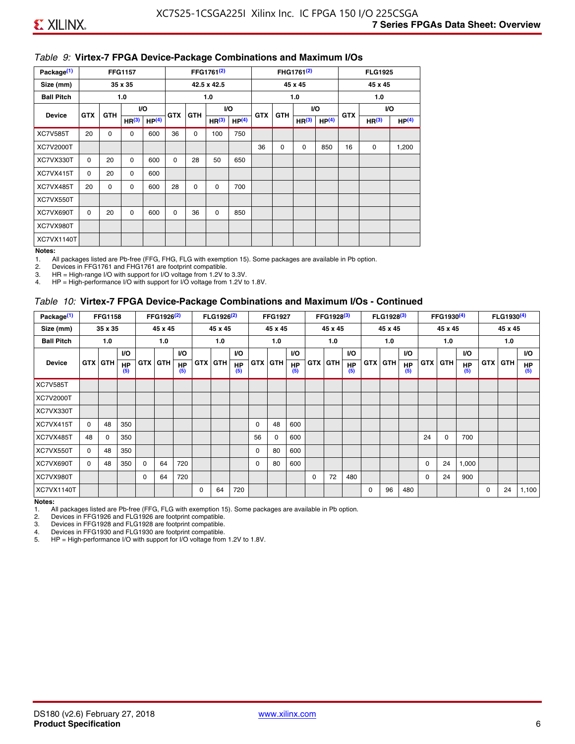#### *Table 9:* **Virtex-7 FPGA Device-Package Combinations and Maximum I/Os**

| Package <sup>(1)</sup> |            |             | <b>FFG1157</b>    |                   |            |            | FFG1761 <sup>(2)</sup> |                   |            |             | FHG1761 <sup>(2)</sup> |                   |            | <b>FLG1925</b>    |                   |
|------------------------|------------|-------------|-------------------|-------------------|------------|------------|------------------------|-------------------|------------|-------------|------------------------|-------------------|------------|-------------------|-------------------|
| Size (mm)              |            |             | 35 x 35           |                   |            |            | 42.5 x 42.5            |                   |            |             | 45 x 45                |                   |            | 45 x 45           |                   |
| <b>Ball Pitch</b>      |            |             | 1.0               |                   |            |            | 1.0                    |                   |            |             | 1.0                    |                   |            | 1.0               |                   |
| <b>Device</b>          | <b>GTX</b> | <b>GTH</b>  |                   | VO.               | <b>GTX</b> | <b>GTH</b> |                        | I/O               | <b>GTX</b> | <b>GTH</b>  |                        | VO.               | <b>GTX</b> |                   | VO.               |
|                        |            |             | HR <sup>(3)</sup> | HP <sup>(4)</sup> |            |            | HR <sup>(3)</sup>      | HP <sup>(4)</sup> |            |             | HR <sup>(3)</sup>      | HP <sup>(4)</sup> |            | HR <sup>(3)</sup> | HP <sup>(4)</sup> |
| <b>XC7V585T</b>        | 20         | $\mathbf 0$ | 0                 | 600               | 36         | 0          | 100                    | 750               |            |             |                        |                   |            |                   |                   |
| XC7V2000T              |            |             |                   |                   |            |            |                        |                   | 36         | $\mathbf 0$ | $\mathbf 0$            | 850               | 16         | 0                 | 1,200             |
| XC7VX330T              | $\Omega$   | 20          | $\Omega$          | 600               | $\Omega$   | 28         | 50                     | 650               |            |             |                        |                   |            |                   |                   |
| XC7VX415T              | $\Omega$   | 20          | $\Omega$          | 600               |            |            |                        |                   |            |             |                        |                   |            |                   |                   |
| XC7VX485T              | 20         | 0           | 0                 | 600               | 28         | 0          | 0                      | 700               |            |             |                        |                   |            |                   |                   |
| XC7VX550T              |            |             |                   |                   |            |            |                        |                   |            |             |                        |                   |            |                   |                   |
| XC7VX690T              | $\Omega$   | 20          | $\Omega$          | 600               | $\Omega$   | 36         | 0                      | 850               |            |             |                        |                   |            |                   |                   |
| XC7VX980T              |            |             |                   |                   |            |            |                        |                   |            |             |                        |                   |            |                   |                   |
| XC7VX1140T             |            |             |                   |                   |            |            |                        |                   |            |             |                        |                   |            |                   |                   |

#### **Notes:**

1. All packages listed are Pb-free (FFG, FHG, FLG with exemption 15). Some packages are available in Pb option.

2. Devices in FFG1761 and FHG1761 are footprint compatible.<br>3. HR = High-range I/O with support for I/O voltage from 1.2V to

HR = High-range I/O with support for I/O voltage from 1.2V to 3.3V.

4. HP = High-performance I/O with support for I/O voltage from 1.2V to 1.8V.

#### *Table 10:* **Virtex-7 FPGA Device-Package Combinations and Maximum I/Os - Continued**

| Package <sup>(1)</sup> |          | <b>FFG1158</b> |                  |            | FFG1926 <sup>(2)</sup> |                  |            | FLG1926 <sup>(2)</sup> |                  |    | <b>FFG1927</b> |                  |            | FFG1928 <sup>(3)</sup> |                  |            | FLG1928 <sup>(3)</sup> |                  |            | FFG1930 <sup>(4)</sup> |           |            | FLG1930 <sup>(4)</sup> |                  |
|------------------------|----------|----------------|------------------|------------|------------------------|------------------|------------|------------------------|------------------|----|----------------|------------------|------------|------------------------|------------------|------------|------------------------|------------------|------------|------------------------|-----------|------------|------------------------|------------------|
| Size (mm)              |          | 35 x 35        |                  |            | 45 x 45                |                  |            | 45 x 45                |                  |    | 45 x 45        |                  |            | 45 x 45                |                  |            | 45 x 45                |                  |            | 45 x 45                |           |            | 45 x 45                |                  |
| <b>Ball Pitch</b>      |          | 1.0            |                  |            | 1.0                    |                  |            | 1.0                    |                  |    | 1.0            |                  |            | 1.0                    |                  |            | 1.0                    |                  |            | 1.0                    |           |            | 1.0                    |                  |
|                        |          |                | <b>VO</b>        |            |                        | <b>VO</b>        |            |                        | VO.              |    |                | <b>VO</b>        |            |                        | <b>VO</b>        |            |                        | <b>VO</b>        |            |                        | <b>VO</b> |            |                        | <b>VO</b>        |
| <b>Device</b>          |          | <b>GTX GTH</b> | <b>HP</b><br>(5) | <b>GTX</b> | <b>GTH</b>             | <b>HP</b><br>(5) | <b>GTX</b> | <b>GTH</b>             | <b>HP</b><br>(5) |    | <b>GTX GTH</b> | <b>HP</b><br>(5) | <b>GTX</b> | <b>GTH</b>             | <b>HP</b><br>(5) | <b>GTX</b> | <b>GTH</b>             | <b>HP</b><br>(5) | <b>GTX</b> | GTH                    | HP<br>(5) | <b>GTX</b> | GTH                    | <b>HP</b><br>(5) |
| <b>XC7V585T</b>        |          |                |                  |            |                        |                  |            |                        |                  |    |                |                  |            |                        |                  |            |                        |                  |            |                        |           |            |                        |                  |
| <b>XC7V2000T</b>       |          |                |                  |            |                        |                  |            |                        |                  |    |                |                  |            |                        |                  |            |                        |                  |            |                        |           |            |                        |                  |
| XC7VX330T              |          |                |                  |            |                        |                  |            |                        |                  |    |                |                  |            |                        |                  |            |                        |                  |            |                        |           |            |                        |                  |
| XC7VX415T              | $\Omega$ | 48             | 350              |            |                        |                  |            |                        |                  | 0  | 48             | 600              |            |                        |                  |            |                        |                  |            |                        |           |            |                        |                  |
| XC7VX485T              | 48       | $\Omega$       | 350              |            |                        |                  |            |                        |                  | 56 | 0              | 600              |            |                        |                  |            |                        |                  | 24         | $\Omega$               | 700       |            |                        |                  |
| XC7VX550T              | $\Omega$ | 48             | 350              |            |                        |                  |            |                        |                  | 0  | 80             | 600              |            |                        |                  |            |                        |                  |            |                        |           |            |                        |                  |
| XC7VX690T              | $\Omega$ | 48             | 350              | $\Omega$   | 64                     | 720              |            |                        |                  | 0  | 80             | 600              |            |                        |                  |            |                        |                  | 0          | 24                     | 1,000     |            |                        |                  |
| XC7VX980T              |          |                |                  | $\Omega$   | 64                     | 720              |            |                        |                  |    |                |                  | $\Omega$   | 72                     | 480              |            |                        |                  | 0          | 24                     | 900       |            |                        |                  |
| <b>XC7VX1140T</b>      |          |                |                  |            |                        |                  | $\Omega$   | 64                     | 720              |    |                |                  |            |                        |                  | $\Omega$   | 96                     | 480              |            |                        |           | $\Omega$   | 24                     | 1,100            |

**Notes:** 

1. All packages listed are Pb-free (FFG, FLG with exemption 15). Some packages are available in Pb option.<br>2. Devices in FFG1926 and FLG1926 are footprint compatible.

2. Devices in FFG1926 and FLG1926 are footprint compatible.

3. Devices in FFG1928 and FLG1928 are footprint compatible.

4. Devices in FFG1930 and FLG1930 are footprint compatible.<br>5. HP = High-performance I/O with support for I/O voltage from HP = High-performance I/O with support for I/O voltage from 1.2V to 1.8V.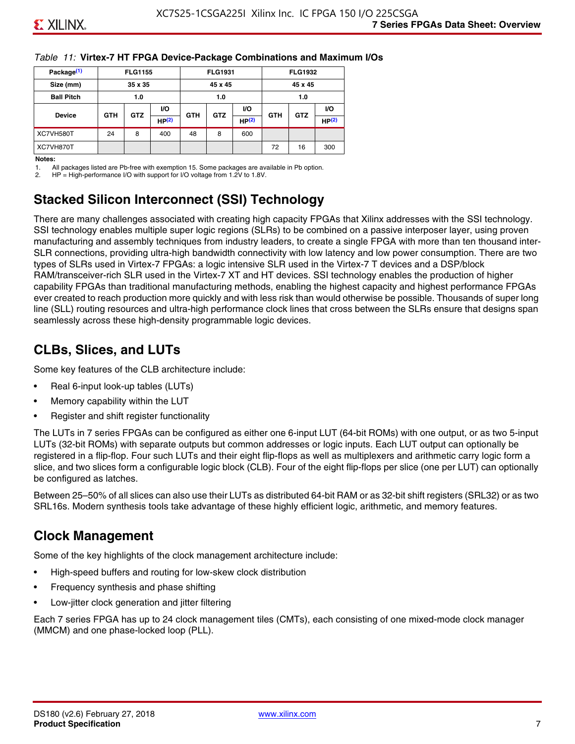#### *Table 11:* **Virtex-7 HT FPGA Device-Package Combinations and Maximum I/Os**

| Package <sup>(1)</sup> |            | <b>FLG1155</b> |       |            | <b>FLG1931</b> |                   |            | <b>FLG1932</b> |                   |
|------------------------|------------|----------------|-------|------------|----------------|-------------------|------------|----------------|-------------------|
| Size (mm)              |            | 35 x 35        |       |            | 45 x 45        |                   |            | 45 x 45        |                   |
| <b>Ball Pitch</b>      |            | 1.0            |       |            | 1.0            |                   |            | 1.0            |                   |
|                        |            | <b>GTZ</b>     | VO.   |            |                | <b>VO</b>         |            |                | VO.               |
| <b>Device</b>          | <b>GTH</b> |                | HP(2) | <b>GTH</b> | <b>GTZ</b>     | HP <sup>(2)</sup> | <b>GTH</b> | <b>GTZ</b>     | HP <sup>(2)</sup> |
| XC7VH580T              | 24         | 8              | 400   | 48         | 8              | 600               |            |                |                   |
| XC7VH870T              |            |                |       |            |                |                   | 72         | 16             | 300               |

#### **Notes:**

1. All packages listed are Pb-free with exemption 15. Some packages are available in Pb option.

2. HP = High-performance I/O with support for I/O voltage from 1.2V to 1.8V.

### **Stacked Silicon Interconnect (SSI) Technology**

There are many challenges associated with creating high capacity FPGAs that Xilinx addresses with the SSI technology. SSI technology enables multiple super logic regions (SLRs) to be combined on a passive interposer layer, using proven manufacturing and assembly techniques from industry leaders, to create a single FPGA with more than ten thousand inter-SLR connections, providing ultra-high bandwidth connectivity with low latency and low power consumption. There are two types of SLRs used in Virtex-7 FPGAs: a logic intensive SLR used in the Virtex-7 T devices and a DSP/block RAM/transceiver-rich SLR used in the Virtex-7 XT and HT devices. SSI technology enables the production of higher capability FPGAs than traditional manufacturing methods, enabling the highest capacity and highest performance FPGAs ever created to reach production more quickly and with less risk than would otherwise be possible. Thousands of super long line (SLL) routing resources and ultra-high performance clock lines that cross between the SLRs ensure that designs span seamlessly across these high-density programmable logic devices.

### **CLBs, Slices, and LUTs**

Some key features of the CLB architecture include:

- Real 6-input look-up tables (LUTs)
- Memory capability within the LUT
- Register and shift register functionality

The LUTs in 7 series FPGAs can be configured as either one 6-input LUT (64-bit ROMs) with one output, or as two 5-input LUTs (32-bit ROMs) with separate outputs but common addresses or logic inputs. Each LUT output can optionally be registered in a flip-flop. Four such LUTs and their eight flip-flops as well as multiplexers and arithmetic carry logic form a slice, and two slices form a configurable logic block (CLB). Four of the eight flip-flops per slice (one per LUT) can optionally be configured as latches.

Between 25–50% of all slices can also use their LUTs as distributed 64-bit RAM or as 32-bit shift registers (SRL32) or as two SRL16s. Modern synthesis tools take advantage of these highly efficient logic, arithmetic, and memory features.

### **Clock Management**

Some of the key highlights of the clock management architecture include:

- High-speed buffers and routing for low-skew clock distribution
- Frequency synthesis and phase shifting
- Low-jitter clock generation and jitter filtering

Each 7 series FPGA has up to 24 clock management tiles (CMTs), each consisting of one mixed-mode clock manager (MMCM) and one phase-locked loop (PLL).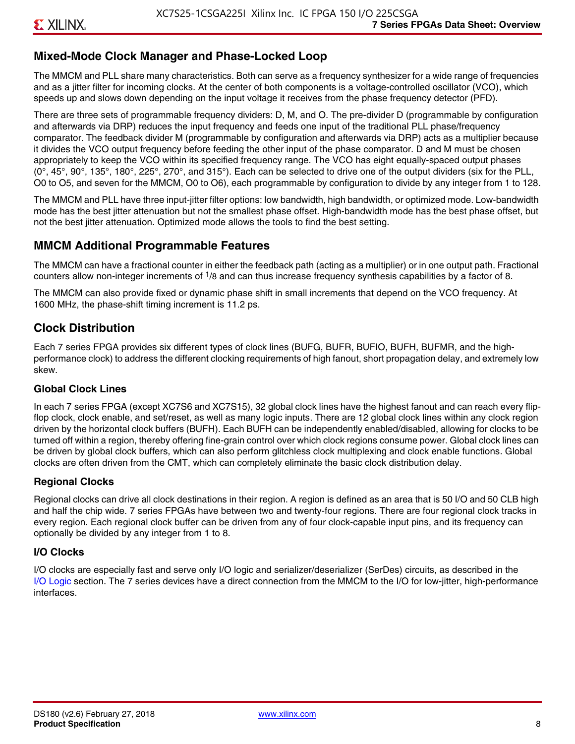### **Mixed-Mode Clock Manager and Phase-Locked Loop**

The MMCM and PLL share many characteristics. Both can serve as a frequency synthesizer for a wide range of frequencies and as a jitter filter for incoming clocks. At the center of both components is a voltage-controlled oscillator (VCO), which speeds up and slows down depending on the input voltage it receives from the phase frequency detector (PFD).

There are three sets of programmable frequency dividers: D, M, and O. The pre-divider D (programmable by configuration and afterwards via DRP) reduces the input frequency and feeds one input of the traditional PLL phase/frequency comparator. The feedback divider M (programmable by configuration and afterwards via DRP) acts as a multiplier because it divides the VCO output frequency before feeding the other input of the phase comparator. D and M must be chosen appropriately to keep the VCO within its specified frequency range. The VCO has eight equally-spaced output phases  $(0^\circ, 45^\circ, 90^\circ, 135^\circ, 180^\circ, 225^\circ, 270^\circ,$  and  $315^\circ$ ). Each can be selected to drive one of the output dividers (six for the PLL, O0 to O5, and seven for the MMCM, O0 to O6), each programmable by configuration to divide by any integer from 1 to 128.

The MMCM and PLL have three input-jitter filter options: low bandwidth, high bandwidth, or optimized mode. Low-bandwidth mode has the best jitter attenuation but not the smallest phase offset. High-bandwidth mode has the best phase offset, but not the best jitter attenuation. Optimized mode allows the tools to find the best setting.

### **MMCM Additional Programmable Features**

The MMCM can have a fractional counter in either the feedback path (acting as a multiplier) or in one output path. Fractional counters allow non-integer increments of  $1/8$  and can thus increase frequency synthesis capabilities by a factor of 8.

The MMCM can also provide fixed or dynamic phase shift in small increments that depend on the VCO frequency. At 1600 MHz, the phase-shift timing increment is 11.2 ps.

### **Clock Distribution**

Each 7 series FPGA provides six different types of clock lines (BUFG, BUFR, BUFIO, BUFH, BUFMR, and the highperformance clock) to address the different clocking requirements of high fanout, short propagation delay, and extremely low skew.

#### **Global Clock Lines**

In each 7 series FPGA (except XC7S6 and XC7S15), 32 global clock lines have the highest fanout and can reach every flipflop clock, clock enable, and set/reset, as well as many logic inputs. There are 12 global clock lines within any clock region driven by the horizontal clock buffers (BUFH). Each BUFH can be independently enabled/disabled, allowing for clocks to be turned off within a region, thereby offering fine-grain control over which clock regions consume power. Global clock lines can be driven by global clock buffers, which can also perform glitchless clock multiplexing and clock enable functions. Global clocks are often driven from the CMT, which can completely eliminate the basic clock distribution delay.

#### **Regional Clocks**

Regional clocks can drive all clock destinations in their region. A region is defined as an area that is 50 I/O and 50 CLB high and half the chip wide. 7 series FPGAs have between two and twenty-four regions. There are four regional clock tracks in every region. Each regional clock buffer can be driven from any of four clock-capable input pins, and its frequency can optionally be divided by any integer from 1 to 8.

#### **I/O Clocks**

I/O clocks are especially fast and serve only I/O logic and serializer/deserializer (SerDes) circuits, as described in the I/O Logic section. The 7 series devices have a direct connection from the MMCM to the I/O for low-jitter, high-performance interfaces.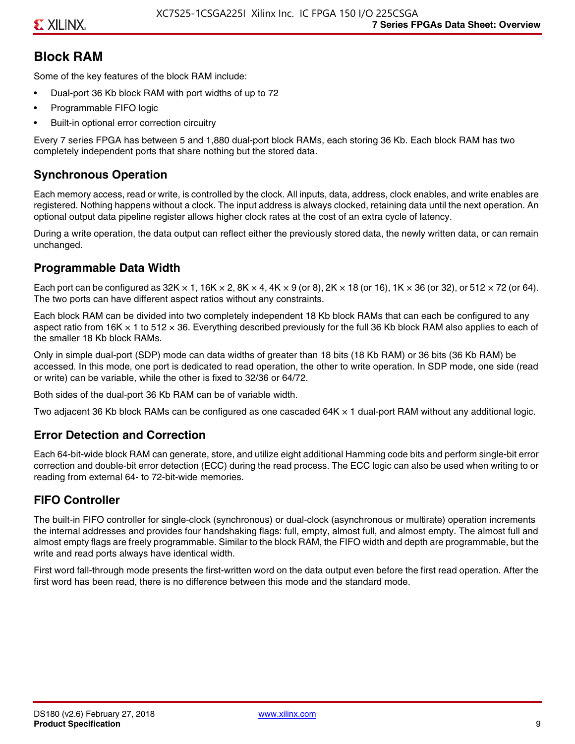### **Block RAM**

Some of the key features of the block RAM include:

- Dual-port 36 Kb block RAM with port widths of up to 72
- Programmable FIFO logic
- Built-in optional error correction circuitry

Every 7 series FPGA has between 5 and 1,880 dual-port block RAMs, each storing 36 Kb. Each block RAM has two completely independent ports that share nothing but the stored data.

### **Synchronous Operation**

Each memory access, read or write, is controlled by the clock. All inputs, data, address, clock enables, and write enables are registered. Nothing happens without a clock. The input address is always clocked, retaining data until the next operation. An optional output data pipeline register allows higher clock rates at the cost of an extra cycle of latency.

During a write operation, the data output can reflect either the previously stored data, the newly written data, or can remain unchanged.

#### **Programmable Data Width**

Each port can be configured as 32K  $\times$  1, 16K  $\times$  2, 8K  $\times$  4, 4K  $\times$  9 (or 8), 2K  $\times$  18 (or 16), 1K  $\times$  36 (or 32), or 512  $\times$  72 (or 64). The two ports can have different aspect ratios without any constraints.

Each block RAM can be divided into two completely independent 18 Kb block RAMs that can each be configured to any aspect ratio from 16K  $\times$  1 to 512  $\times$  36. Everything described previously for the full 36 Kb block RAM also applies to each of the smaller 18 Kb block RAMs.

Only in simple dual-port (SDP) mode can data widths of greater than 18 bits (18 Kb RAM) or 36 bits (36 Kb RAM) be accessed. In this mode, one port is dedicated to read operation, the other to write operation. In SDP mode, one side (read or write) can be variable, while the other is fixed to 32/36 or 64/72.

Both sides of the dual-port 36 Kb RAM can be of variable width.

Two adjacent 36 Kb block RAMs can be configured as one cascaded 64K × 1 dual-port RAM without any additional logic.

#### **Error Detection and Correction**

Each 64-bit-wide block RAM can generate, store, and utilize eight additional Hamming code bits and perform single-bit error correction and double-bit error detection (ECC) during the read process. The ECC logic can also be used when writing to or reading from external 64- to 72-bit-wide memories.

#### **FIFO Controller**

The built-in FIFO controller for single-clock (synchronous) or dual-clock (asynchronous or multirate) operation increments the internal addresses and provides four handshaking flags: full, empty, almost full, and almost empty. The almost full and almost empty flags are freely programmable. Similar to the block RAM, the FIFO width and depth are programmable, but the write and read ports always have identical width.

First word fall-through mode presents the first-written word on the data output even before the first read operation. After the first word has been read, there is no difference between this mode and the standard mode.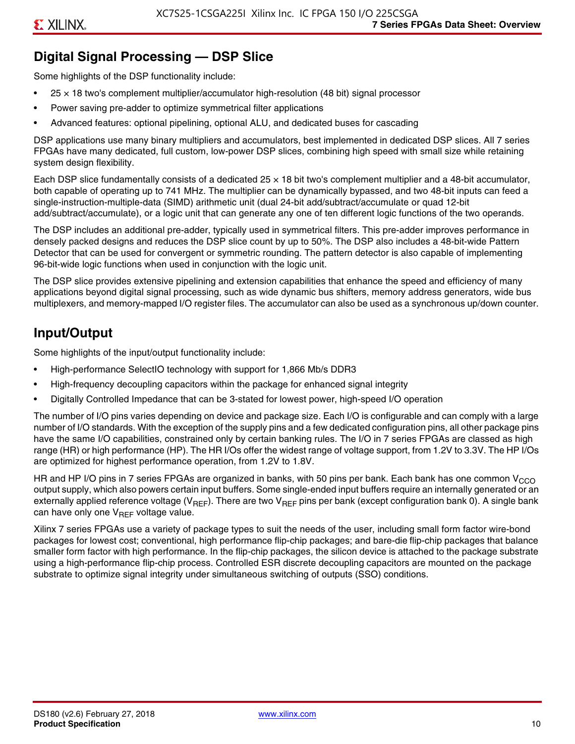### **Digital Signal Processing — DSP Slice**

Some highlights of the DSP functionality include:

- $25 \times 18$  two's complement multiplier/accumulator high-resolution (48 bit) signal processor
- Power saving pre-adder to optimize symmetrical filter applications
- Advanced features: optional pipelining, optional ALU, and dedicated buses for cascading

DSP applications use many binary multipliers and accumulators, best implemented in dedicated DSP slices. All 7 series FPGAs have many dedicated, full custom, low-power DSP slices, combining high speed with small size while retaining system design flexibility.

Each DSP slice fundamentally consists of a dedicated 25 × 18 bit two's complement multiplier and a 48-bit accumulator, both capable of operating up to 741 MHz. The multiplier can be dynamically bypassed, and two 48-bit inputs can feed a single-instruction-multiple-data (SIMD) arithmetic unit (dual 24-bit add/subtract/accumulate or quad 12-bit add/subtract/accumulate), or a logic unit that can generate any one of ten different logic functions of the two operands.

The DSP includes an additional pre-adder, typically used in symmetrical filters. This pre-adder improves performance in densely packed designs and reduces the DSP slice count by up to 50%. The DSP also includes a 48-bit-wide Pattern Detector that can be used for convergent or symmetric rounding. The pattern detector is also capable of implementing 96-bit-wide logic functions when used in conjunction with the logic unit.

The DSP slice provides extensive pipelining and extension capabilities that enhance the speed and efficiency of many applications beyond digital signal processing, such as wide dynamic bus shifters, memory address generators, wide bus multiplexers, and memory-mapped I/O register files. The accumulator can also be used as a synchronous up/down counter.

### **Input/Output**

Some highlights of the input/output functionality include:

- High-performance SelectIO technology with support for 1,866 Mb/s DDR3
- High-frequency decoupling capacitors within the package for enhanced signal integrity
- Digitally Controlled Impedance that can be 3-stated for lowest power, high-speed I/O operation

The number of I/O pins varies depending on device and package size. Each I/O is configurable and can comply with a large number of I/O standards. With the exception of the supply pins and a few dedicated configuration pins, all other package pins have the same I/O capabilities, constrained only by certain banking rules. The I/O in 7 series FPGAs are classed as high range (HR) or high performance (HP). The HR I/Os offer the widest range of voltage support, from 1.2V to 3.3V. The HP I/Os are optimized for highest performance operation, from 1.2V to 1.8V.

HR and HP I/O pins in 7 series FPGAs are organized in banks, with 50 pins per bank. Each bank has one common V<sub>CCO</sub> output supply, which also powers certain input buffers. Some single-ended input buffers require an internally generated or an externally applied reference voltage ( $V_{RFF}$ ). There are two  $V_{RFF}$  pins per bank (except configuration bank 0). A single bank can have only one  $V_{\text{RFF}}$  voltage value.

Xilinx 7 series FPGAs use a variety of package types to suit the needs of the user, including small form factor wire-bond packages for lowest cost; conventional, high performance flip-chip packages; and bare-die flip-chip packages that balance smaller form factor with high performance. In the flip-chip packages, the silicon device is attached to the package substrate using a high-performance flip-chip process. Controlled ESR discrete decoupling capacitors are mounted on the package substrate to optimize signal integrity under simultaneous switching of outputs (SSO) conditions.

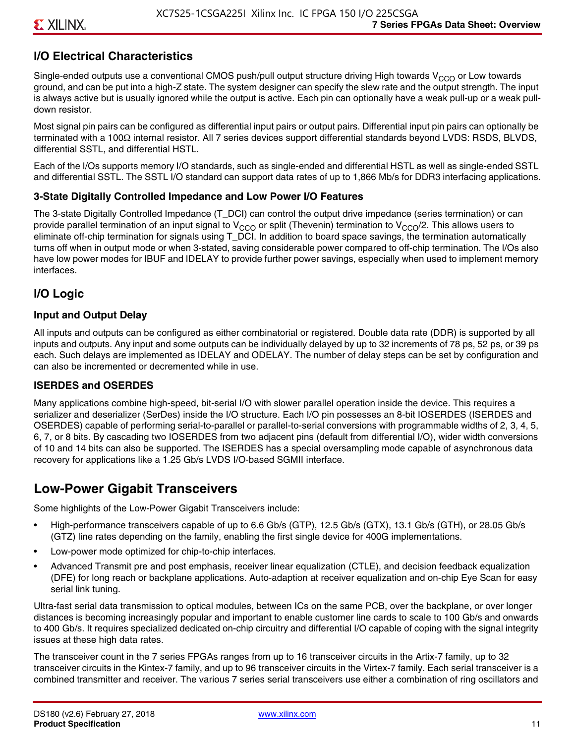### **I/O Electrical Characteristics**

Single-ended outputs use a conventional CMOS push/pull output structure driving High towards  $V_{CCO}$  or Low towards ground, and can be put into a high-Z state. The system designer can specify the slew rate and the output strength. The input is always active but is usually ignored while the output is active. Each pin can optionally have a weak pull-up or a weak pulldown resistor.

Most signal pin pairs can be configured as differential input pairs or output pairs. Differential input pin pairs can optionally be terminated with a 100Ω internal resistor. All 7 series devices support differential standards beyond LVDS: RSDS, BLVDS, differential SSTL, and differential HSTL.

Each of the I/Os supports memory I/O standards, such as single-ended and differential HSTL as well as single-ended SSTL and differential SSTL. The SSTL I/O standard can support data rates of up to 1,866 Mb/s for DDR3 interfacing applications.

#### **3-State Digitally Controlled Impedance and Low Power I/O Features**

The 3-state Digitally Controlled Impedance (T\_DCI) can control the output drive impedance (series termination) or can provide parallel termination of an input signal to V<sub>CCO</sub> or split (Thevenin) termination to V<sub>CCO</sub>/2. This allows users to eliminate off-chip termination for signals using T\_DCI. In addition to board space savings, the termination automatically turns off when in output mode or when 3-stated, saving considerable power compared to off-chip termination. The I/Os also have low power modes for IBUF and IDELAY to provide further power savings, especially when used to implement memory interfaces.

### **I/O Logic**

#### **Input and Output Delay**

All inputs and outputs can be configured as either combinatorial or registered. Double data rate (DDR) is supported by all inputs and outputs. Any input and some outputs can be individually delayed by up to 32 increments of 78 ps, 52 ps, or 39 ps each. Such delays are implemented as IDELAY and ODELAY. The number of delay steps can be set by configuration and can also be incremented or decremented while in use.

#### **ISERDES and OSERDES**

Many applications combine high-speed, bit-serial I/O with slower parallel operation inside the device. This requires a serializer and deserializer (SerDes) inside the I/O structure. Each I/O pin possesses an 8-bit IOSERDES (ISERDES and OSERDES) capable of performing serial-to-parallel or parallel-to-serial conversions with programmable widths of 2, 3, 4, 5, 6, 7, or 8 bits. By cascading two IOSERDES from two adjacent pins (default from differential I/O), wider width conversions of 10 and 14 bits can also be supported. The ISERDES has a special oversampling mode capable of asynchronous data recovery for applications like a 1.25 Gb/s LVDS I/O-based SGMII interface.

### **Low-Power Gigabit Transceivers**

Some highlights of the Low-Power Gigabit Transceivers include:

- High-performance transceivers capable of up to 6.6 Gb/s (GTP), 12.5 Gb/s (GTX), 13.1 Gb/s (GTH), or 28.05 Gb/s (GTZ) line rates depending on the family, enabling the first single device for 400G implementations.
- Low-power mode optimized for chip-to-chip interfaces.
- Advanced Transmit pre and post emphasis, receiver linear equalization (CTLE), and decision feedback equalization (DFE) for long reach or backplane applications. Auto-adaption at receiver equalization and on-chip Eye Scan for easy serial link tuning.

Ultra-fast serial data transmission to optical modules, between ICs on the same PCB, over the backplane, or over longer distances is becoming increasingly popular and important to enable customer line cards to scale to 100 Gb/s and onwards to 400 Gb/s. It requires specialized dedicated on-chip circuitry and differential I/O capable of coping with the signal integrity issues at these high data rates.

The transceiver count in the 7 series FPGAs ranges from up to 16 transceiver circuits in the Artix-7 family, up to 32 transceiver circuits in the Kintex-7 family, and up to 96 transceiver circuits in the Virtex-7 family. Each serial transceiver is a combined transmitter and receiver. The various 7 series serial transceivers use either a combination of ring oscillators and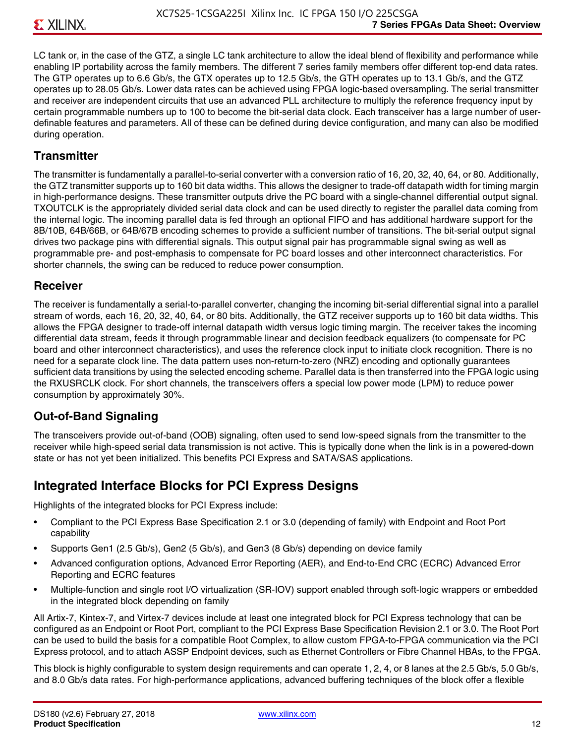LC tank or, in the case of the GTZ, a single LC tank architecture to allow the ideal blend of flexibility and performance while enabling IP portability across the family members. The different 7 series family members offer different top-end data rates. The GTP operates up to 6.6 Gb/s, the GTX operates up to 12.5 Gb/s, the GTH operates up to 13.1 Gb/s, and the GTZ operates up to 28.05 Gb/s. Lower data rates can be achieved using FPGA logic-based oversampling. The serial transmitter and receiver are independent circuits that use an advanced PLL architecture to multiply the reference frequency input by certain programmable numbers up to 100 to become the bit-serial data clock. Each transceiver has a large number of userdefinable features and parameters. All of these can be defined during device configuration, and many can also be modified during operation.

#### **Transmitter**

The transmitter is fundamentally a parallel-to-serial converter with a conversion ratio of 16, 20, 32, 40, 64, or 80. Additionally, the GTZ transmitter supports up to 160 bit data widths. This allows the designer to trade-off datapath width for timing margin in high-performance designs. These transmitter outputs drive the PC board with a single-channel differential output signal. TXOUTCLK is the appropriately divided serial data clock and can be used directly to register the parallel data coming from the internal logic. The incoming parallel data is fed through an optional FIFO and has additional hardware support for the 8B/10B, 64B/66B, or 64B/67B encoding schemes to provide a sufficient number of transitions. The bit-serial output signal drives two package pins with differential signals. This output signal pair has programmable signal swing as well as programmable pre- and post-emphasis to compensate for PC board losses and other interconnect characteristics. For shorter channels, the swing can be reduced to reduce power consumption.

#### **Receiver**

The receiver is fundamentally a serial-to-parallel converter, changing the incoming bit-serial differential signal into a parallel stream of words, each 16, 20, 32, 40, 64, or 80 bits. Additionally, the GTZ receiver supports up to 160 bit data widths. This allows the FPGA designer to trade-off internal datapath width versus logic timing margin. The receiver takes the incoming differential data stream, feeds it through programmable linear and decision feedback equalizers (to compensate for PC board and other interconnect characteristics), and uses the reference clock input to initiate clock recognition. There is no need for a separate clock line. The data pattern uses non-return-to-zero (NRZ) encoding and optionally guarantees sufficient data transitions by using the selected encoding scheme. Parallel data is then transferred into the FPGA logic using the RXUSRCLK clock. For short channels, the transceivers offers a special low power mode (LPM) to reduce power consumption by approximately 30%.

#### **Out-of-Band Signaling**

The transceivers provide out-of-band (OOB) signaling, often used to send low-speed signals from the transmitter to the receiver while high-speed serial data transmission is not active. This is typically done when the link is in a powered-down state or has not yet been initialized. This benefits PCI Express and SATA/SAS applications.

### **Integrated Interface Blocks for PCI Express Designs**

Highlights of the integrated blocks for PCI Express include:

- Compliant to the PCI Express Base Specification 2.1 or 3.0 (depending of family) with Endpoint and Root Port capability
- Supports Gen1 (2.5 Gb/s), Gen2 (5 Gb/s), and Gen3 (8 Gb/s) depending on device family
- Advanced configuration options, Advanced Error Reporting (AER), and End-to-End CRC (ECRC) Advanced Error Reporting and ECRC features
- Multiple-function and single root I/O virtualization (SR-IOV) support enabled through soft-logic wrappers or embedded in the integrated block depending on family

All Artix-7, Kintex-7, and Virtex-7 devices include at least one integrated block for PCI Express technology that can be configured as an Endpoint or Root Port, compliant to the PCI Express Base Specification Revision 2.1 or 3.0. The Root Port can be used to build the basis for a compatible Root Complex, to allow custom FPGA-to-FPGA communication via the PCI Express protocol, and to attach ASSP Endpoint devices, such as Ethernet Controllers or Fibre Channel HBAs, to the FPGA.

This block is highly configurable to system design requirements and can operate 1, 2, 4, or 8 lanes at the 2.5 Gb/s, 5.0 Gb/s, and 8.0 Gb/s data rates. For high-performance applications, advanced buffering techniques of the block offer a flexible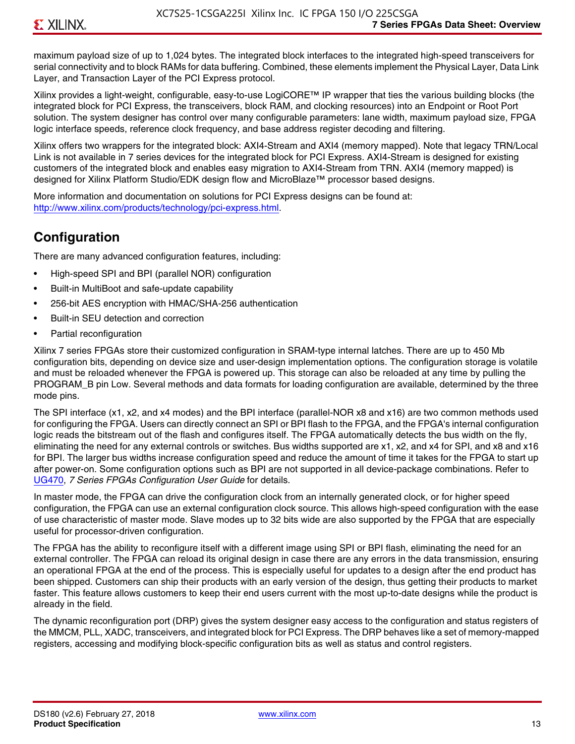maximum payload size of up to 1,024 bytes. The integrated block interfaces to the integrated high-speed transceivers for serial connectivity and to block RAMs for data buffering. Combined, these elements implement the Physical Layer, Data Link Layer, and Transaction Layer of the PCI Express protocol.

Xilinx provides a light-weight, configurable, easy-to-use LogiCORE™ IP wrapper that ties the various building blocks (the integrated block for PCI Express, the transceivers, block RAM, and clocking resources) into an Endpoint or Root Port solution. The system designer has control over many configurable parameters: lane width, maximum payload size, FPGA logic interface speeds, reference clock frequency, and base address register decoding and filtering.

Xilinx offers two wrappers for the integrated block: AXI4-Stream and AXI4 (memory mapped). Note that legacy TRN/Local Link is not available in 7 series devices for the integrated block for PCI Express. AXI4-Stream is designed for existing customers of the integrated block and enables easy migration to AXI4-Stream from TRN. AXI4 (memory mapped) is designed for Xilinx Platform Studio/EDK design flow and MicroBlaze™ processor based designs.

More information and documentation on solutions for PCI Express designs can be found at: <http://www.xilinx.com/products/technology/pci-express.html>.

### **Configuration**

There are many advanced configuration features, including:

- High-speed SPI and BPI (parallel NOR) configuration
- Built-in MultiBoot and safe-update capability
- 256-bit AES encryption with HMAC/SHA-256 authentication
- Built-in SEU detection and correction
- Partial reconfiguration

Xilinx 7 series FPGAs store their customized configuration in SRAM-type internal latches. There are up to 450 Mb configuration bits, depending on device size and user-design implementation options. The configuration storage is volatile and must be reloaded whenever the FPGA is powered up. This storage can also be reloaded at any time by pulling the PROGRAM B pin Low. Several methods and data formats for loading configuration are available, determined by the three mode pins.

The SPI interface (x1, x2, and x4 modes) and the BPI interface (parallel-NOR x8 and x16) are two common methods used for configuring the FPGA. Users can directly connect an SPI or BPI flash to the FPGA, and the FPGA's internal configuration logic reads the bitstream out of the flash and configures itself. The FPGA automatically detects the bus width on the fly, eliminating the need for any external controls or switches. Bus widths supported are x1, x2, and x4 for SPI, and x8 and x16 for BPI. The larger bus widths increase configuration speed and reduce the amount of time it takes for the FPGA to start up after power-on. Some configuration options such as BPI are not supported in all device-package combinations. Refer to [UG470,](http://www.xilinx.com/support/documentation/user_guides/ug470_7Series_Config.pdf) *7 Series FPGAs Configuration User Guide* for details.

In master mode, the FPGA can drive the configuration clock from an internally generated clock, or for higher speed configuration, the FPGA can use an external configuration clock source. This allows high-speed configuration with the ease of use characteristic of master mode. Slave modes up to 32 bits wide are also supported by the FPGA that are especially useful for processor-driven configuration.

The FPGA has the ability to reconfigure itself with a different image using SPI or BPI flash, eliminating the need for an external controller. The FPGA can reload its original design in case there are any errors in the data transmission, ensuring an operational FPGA at the end of the process. This is especially useful for updates to a design after the end product has been shipped. Customers can ship their products with an early version of the design, thus getting their products to market faster. This feature allows customers to keep their end users current with the most up-to-date designs while the product is already in the field.

The dynamic reconfiguration port (DRP) gives the system designer easy access to the configuration and status registers of the MMCM, PLL, XADC, transceivers, and integrated block for PCI Express. The DRP behaves like a set of memory-mapped registers, accessing and modifying block-specific configuration bits as well as status and control registers.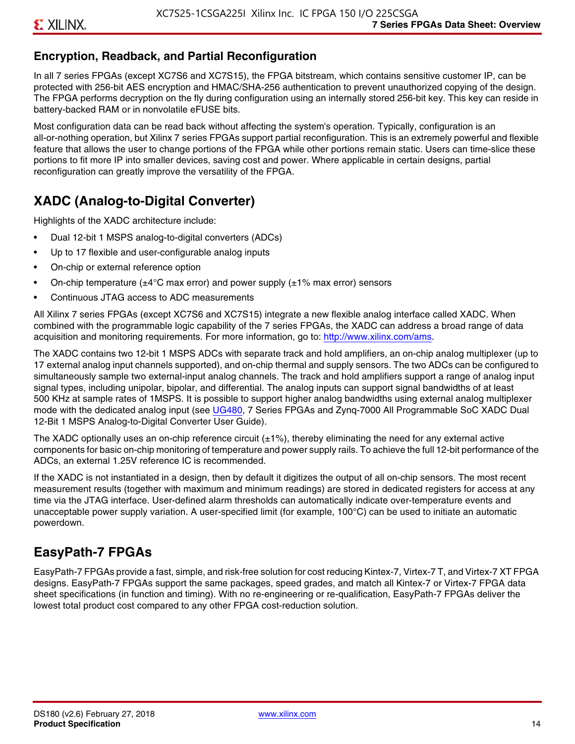### **Encryption, Readback, and Partial Reconfiguration**

In all 7 series FPGAs (except XC7S6 and XC7S15), the FPGA bitstream, which contains sensitive customer IP, can be protected with 256-bit AES encryption and HMAC/SHA-256 authentication to prevent unauthorized copying of the design. The FPGA performs decryption on the fly during configuration using an internally stored 256-bit key. This key can reside in battery-backed RAM or in nonvolatile eFUSE bits.

Most configuration data can be read back without affecting the system's operation. Typically, configuration is an all-or-nothing operation, but Xilinx 7 series FPGAs support partial reconfiguration. This is an extremely powerful and flexible feature that allows the user to change portions of the FPGA while other portions remain static. Users can time-slice these portions to fit more IP into smaller devices, saving cost and power. Where applicable in certain designs, partial reconfiguration can greatly improve the versatility of the FPGA.

### **XADC (Analog-to-Digital Converter)**

Highlights of the XADC architecture include:

- Dual 12-bit 1 MSPS analog-to-digital converters (ADCs)
- Up to 17 flexible and user-configurable analog inputs
- On-chip or external reference option
- On-chip temperature ( $\pm 4^{\circ}$ C max error) and power supply ( $\pm 1\%$  max error) sensors
- Continuous JTAG access to ADC measurements

All Xilinx 7 series FPGAs (except XC7S6 and XC7S15) integrate a new flexible analog interface called XADC. When combined with the programmable logic capability of the 7 series FPGAs, the XADC can address a broad range of data acquisition and monitoring requirements. For more information, go to: [http://www.xilinx.com/ams.](http://www.xilinx.com/ams)

The XADC contains two 12-bit 1 MSPS ADCs with separate track and hold amplifiers, an on-chip analog multiplexer (up to 17 external analog input channels supported), and on-chip thermal and supply sensors. The two ADCs can be configured to simultaneously sample two external-input analog channels. The track and hold amplifiers support a range of analog input signal types, including unipolar, bipolar, and differential. The analog inputs can support signal bandwidths of at least 500 KHz at sample rates of 1MSPS. It is possible to support higher analog bandwidths using external analog multiplexer mode with the dedicated analog input (see [UG480](http://www.xilinx.com/support/documentation/user_guides/ug480_7Series_XADC.pdf), 7 Series FPGAs and Zynq-7000 All Programmable SoC XADC Dual 12-Bit 1 MSPS Analog-to-Digital Converter User Guide)*.*

The XADC optionally uses an on-chip reference circuit  $(\pm 1\%)$ , thereby eliminating the need for any external active components for basic on-chip monitoring of temperature and power supply rails. To achieve the full 12-bit performance of the ADCs, an external 1.25V reference IC is recommended.

If the XADC is not instantiated in a design, then by default it digitizes the output of all on-chip sensors. The most recent measurement results (together with maximum and minimum readings) are stored in dedicated registers for access at any time via the JTAG interface. User-defined alarm thresholds can automatically indicate over-temperature events and unacceptable power supply variation. A user-specified limit (for example, 100°C) can be used to initiate an automatic powerdown.

### **EasyPath-7 FPGAs**

EasyPath-7 FPGAs provide a fast, simple, and risk-free solution for cost reducing Kintex-7, Virtex-7 T, and Virtex-7 XT FPGA designs. EasyPath-7 FPGAs support the same packages, speed grades, and match all Kintex-7 or Virtex-7 FPGA data sheet specifications (in function and timing). With no re-engineering or re-qualification, EasyPath-7 FPGAs deliver the lowest total product cost compared to any other FPGA cost-reduction solution.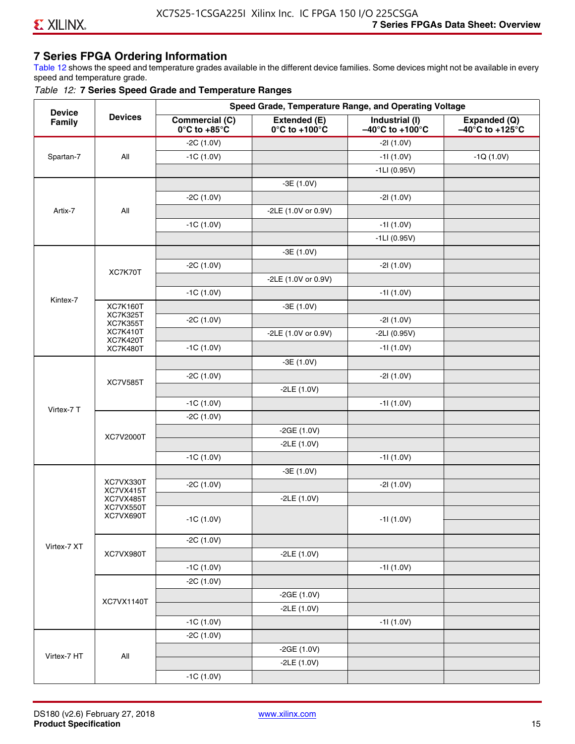#### **7 Series FPGA Ordering Information**

Table 12 shows the speed and temperature grades available in the different device families. Some devices might not be available in every speed and temperature grade.

#### *Table 12:* **7 Series Speed Grade and Temperature Ranges**

| <b>Device</b> |                                    |                                                        |                                                    | Speed Grade, Temperature Range, and Operating Voltage  |                                                      |
|---------------|------------------------------------|--------------------------------------------------------|----------------------------------------------------|--------------------------------------------------------|------------------------------------------------------|
| Family        | <b>Devices</b>                     | <b>Commercial (C)</b><br>$0^\circ$ C to +85 $^\circ$ C | Extended (E)<br>$0^{\circ}$ C to +100 $^{\circ}$ C | Industrial (I)<br>$-40^{\circ}$ C to +100 $^{\circ}$ C | Expanded (Q)<br>$-40^{\circ}$ C to +125 $^{\circ}$ C |
|               |                                    | $-2C(1.0V)$                                            |                                                    | $-21(1.0V)$                                            |                                                      |
| Spartan-7     | All                                | $-1C(1.0V)$                                            |                                                    | $-11(1.0V)$                                            | $-1Q(1.0V)$                                          |
|               |                                    |                                                        |                                                    | $-1LI(0.95V)$                                          |                                                      |
|               |                                    |                                                        | $-3E(1.0V)$                                        |                                                        |                                                      |
|               |                                    | $-2C(1.0V)$                                            |                                                    | $-21(1.0V)$                                            |                                                      |
| Artix-7       | All                                |                                                        | -2LE (1.0V or 0.9V)                                |                                                        |                                                      |
|               |                                    | $-1C(1.0V)$                                            |                                                    | $-11(1.0V)$                                            |                                                      |
|               |                                    |                                                        |                                                    | $-1LI(0.95V)$                                          |                                                      |
|               |                                    |                                                        | $-3E(1.0V)$                                        |                                                        |                                                      |
|               |                                    | $-2C(1.0V)$                                            |                                                    | $-21(1.0V)$                                            |                                                      |
|               | XC7K70T                            |                                                        | -2LE (1.0V or 0.9V)                                |                                                        |                                                      |
|               |                                    | $-1C(1.0V)$                                            |                                                    | $-11(1.0V)$                                            |                                                      |
| Kintex-7      | <b>XC7K160T</b>                    |                                                        | $-3E(1.0V)$                                        |                                                        |                                                      |
|               | <b>XC7K325T</b><br><b>XC7K355T</b> | $-2C(1.0V)$                                            |                                                    | $-21(1.0V)$                                            |                                                      |
|               | <b>XC7K410T</b>                    |                                                        | -2LE (1.0V or 0.9V)                                | $-2LI(0.95V)$                                          |                                                      |
|               | <b>XC7K420T</b><br><b>XC7K480T</b> | $-1C(1.0V)$                                            |                                                    | $-11(1.0V)$                                            |                                                      |
|               |                                    |                                                        | $-3E(1.0V)$                                        |                                                        |                                                      |
|               |                                    | $-2C(1.0V)$                                            |                                                    | $-21(1.0V)$                                            |                                                      |
|               | <b>XC7V585T</b>                    |                                                        | $-2LE(1.0V)$                                       |                                                        |                                                      |
|               |                                    | $-1C(1.0V)$                                            |                                                    | $-11(1.0V)$                                            |                                                      |
| Virtex-7 T    |                                    | $-2C(1.0V)$                                            |                                                    |                                                        |                                                      |
|               |                                    |                                                        | $-2GE(1.0V)$                                       |                                                        |                                                      |
|               | XC7V2000T                          |                                                        | $-2LE(1.0V)$                                       |                                                        |                                                      |
|               |                                    | $-1C(1.0V)$                                            |                                                    | $-11(1.0V)$                                            |                                                      |
|               |                                    |                                                        | $-3E(1.0V)$                                        |                                                        |                                                      |
|               | XC7VX330T                          | $-2C(1.0V)$                                            |                                                    | $-21(1.0V)$                                            |                                                      |
|               | XC7VX415T<br>XC7VX485T             |                                                        | $-2LE(1.0V)$                                       |                                                        |                                                      |
|               | XC7VX550T<br>XC7VX690T             |                                                        |                                                    |                                                        |                                                      |
|               |                                    | $-1C(1.0V)$                                            |                                                    | $-11(1.0V)$                                            |                                                      |
|               |                                    | $-2C(1.0V)$                                            |                                                    |                                                        |                                                      |
| Virtex-7 XT   | XC7VX980T                          |                                                        | $-2LE(1.0V)$                                       |                                                        |                                                      |
|               |                                    | $-1C(1.0V)$                                            |                                                    | $-11(1.0V)$                                            |                                                      |
|               |                                    | $-2C(1.0V)$                                            |                                                    |                                                        |                                                      |
|               |                                    |                                                        | $-2GE(1.0V)$                                       |                                                        |                                                      |
|               | XC7VX1140T                         |                                                        | $-2LE(1.0V)$                                       |                                                        |                                                      |
|               |                                    | $-1C(1.0V)$                                            |                                                    | $-11(1.0V)$                                            |                                                      |
|               |                                    | $-2C(1.0V)$                                            |                                                    |                                                        |                                                      |
|               |                                    |                                                        | $-2GE(1.0V)$                                       |                                                        |                                                      |
| Virtex-7 HT   | All                                |                                                        | $-2LE(1.0V)$                                       |                                                        |                                                      |
|               |                                    | $-1C(1.0V)$                                            |                                                    |                                                        |                                                      |
|               |                                    |                                                        |                                                    |                                                        |                                                      |

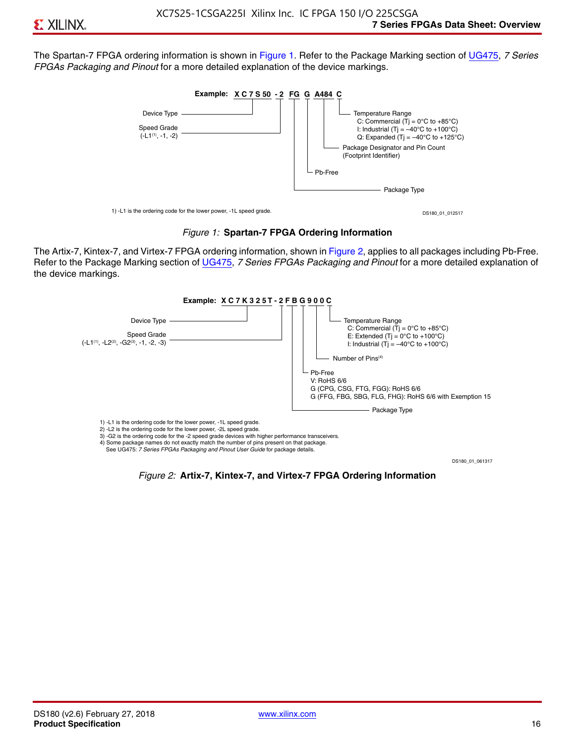The Spartan-7 FPGA ordering information is shown in Figure 1. Refer to the Package Marking section of [UG475,](http://www.xilinx.com/support/documentation/user_guides/ug475_7Series_Pkg_Pinout.pdf) *7 Series FPGAs Packaging and Pinout* for a more detailed explanation of the device markings.





The Artix-7, Kintex-7, and Virtex-7 FPGA ordering information, shown in Figure 2, applies to all packages including Pb-Free. Refer to the Package Marking section of [UG475](http://www.xilinx.com/support/documentation/user_guides/ug475_7Series_Pkg_Pinout.pdf), *7 Series FPGAs Packaging and Pinout* for a more detailed explanation of the device markings.



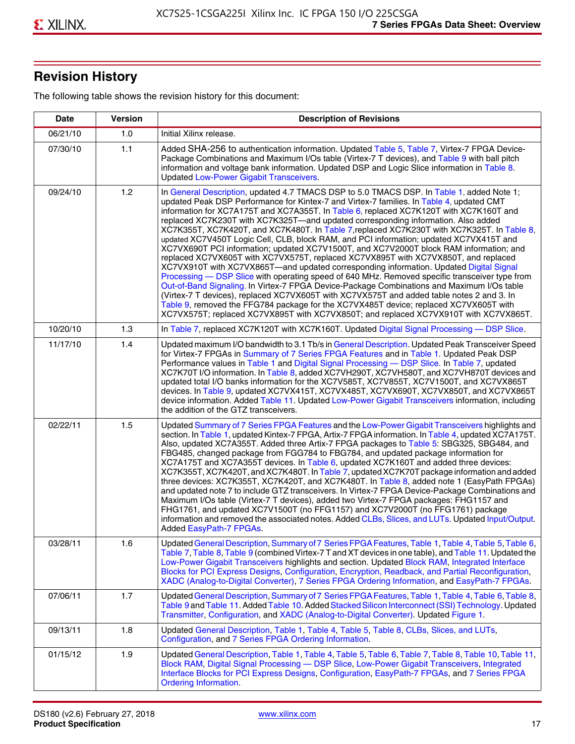## **Revision History**

The following table shows the revision history for this document:

| <b>Date</b> | <b>Version</b> | <b>Description of Revisions</b>                                                                                                                                                                                                                                                                                                                                                                                                                                                                                                                                                                                                                                                                                                                                                                                                                                                                                                                                                                                                                                                                                                                                                                                                                                                                                       |
|-------------|----------------|-----------------------------------------------------------------------------------------------------------------------------------------------------------------------------------------------------------------------------------------------------------------------------------------------------------------------------------------------------------------------------------------------------------------------------------------------------------------------------------------------------------------------------------------------------------------------------------------------------------------------------------------------------------------------------------------------------------------------------------------------------------------------------------------------------------------------------------------------------------------------------------------------------------------------------------------------------------------------------------------------------------------------------------------------------------------------------------------------------------------------------------------------------------------------------------------------------------------------------------------------------------------------------------------------------------------------|
| 06/21/10    | 1.0            | Initial Xilinx release.                                                                                                                                                                                                                                                                                                                                                                                                                                                                                                                                                                                                                                                                                                                                                                                                                                                                                                                                                                                                                                                                                                                                                                                                                                                                                               |
| 07/30/10    | 1.1            | Added SHA-256 to authentication information. Updated Table 5, Table 7, Virtex-7 FPGA Device-<br>Package Combinations and Maximum I/Os table (Virtex-7 T devices), and Table 9 with ball pitch<br>information and voltage bank information. Updated DSP and Logic Slice information in Table 8.<br><b>Updated Low-Power Gigabit Transceivers.</b>                                                                                                                                                                                                                                                                                                                                                                                                                                                                                                                                                                                                                                                                                                                                                                                                                                                                                                                                                                      |
| 09/24/10    | 1.2            | In General Description, updated 4.7 TMACS DSP to 5.0 TMACS DSP. In Table 1, added Note 1;<br>updated Peak DSP Performance for Kintex-7 and Virtex-7 families. In Table 4, updated CMT<br>information for XC7A175T and XC7A355T. In Table 6, replaced XC7K120T with XC7K160T and<br>replaced XC7K230T with XC7K325T-and updated corresponding information. Also added<br>XC7K355T, XC7K420T, and XC7K480T. In Table 7, replaced XC7K230T with XC7K325T. In Table 8,<br>updated XC7V450T Logic Cell, CLB, block RAM, and PCI information; updated XC7VX415T and<br>XC7VX690T PCI information; updated XC7V1500T, and XC7V2000T block RAM information; and<br>replaced XC7VX605T with XC7VX575T, replaced XC7VX895T with XC7VX850T, and replaced<br>XC7VX910T with XC7VX865T-and updated corresponding information. Updated Digital Signal<br>Processing - DSP Slice with operating speed of 640 MHz. Removed specific transceiver type from<br>Out-of-Band Signaling. In Virtex-7 FPGA Device-Package Combinations and Maximum I/Os table<br>(Virtex-7 T devices), replaced XC7VX605T with XC7VX575T and added table notes 2 and 3. In<br>Table 9, removed the FFG784 package for the XC7VX485T device; replaced XC7VX605T with<br>XC7VX575T; replaced XC7VX895T with XC7VX850T; and replaced XC7VX910T with XC7VX865T. |
| 10/20/10    | 1.3            | In Table 7, replaced XC7K120T with XC7K160T. Updated Digital Signal Processing - DSP Slice.                                                                                                                                                                                                                                                                                                                                                                                                                                                                                                                                                                                                                                                                                                                                                                                                                                                                                                                                                                                                                                                                                                                                                                                                                           |
| 11/17/10    | 1.4            | Updated maximum I/O bandwidth to 3.1 Tb/s in General Description. Updated Peak Transceiver Speed<br>for Virtex-7 FPGAs in Summary of 7 Series FPGA Features and in Table 1. Updated Peak DSP<br>Performance values in Table 1 and Digital Signal Processing - DSP Slice. In Table 7, updated<br>XC7K70T I/O information. In Table 8, added XC7VH290T, XC7VH580T, and XC7VH870T devices and<br>updated total I/O banks information for the XC7V585T, XC7V855T, XC7V1500T, and XC7VX865T<br>devices. In Table 9, updated XC7VX415T, XC7VX485T, XC7VX690T, XC7VX850T, and XC7VX865T<br>device information. Added Table 11. Updated Low-Power Gigabit Transceivers information, including<br>the addition of the GTZ transceivers.                                                                                                                                                                                                                                                                                                                                                                                                                                                                                                                                                                                        |
| 02/22/11    | 1.5            | Updated Summary of 7 Series FPGA Features and the Low-Power Gigabit Transceivers highlights and<br>section. In Table 1, updated Kintex-7 FPGA, Artix-7 FPGA information. In Table 4, updated XC7A175T.<br>Also, updated XC7A355T. Added three Artix-7 FPGA packages to Table 5: SBG325, SBG484, and<br>FBG485, changed package from FGG784 to FBG784, and updated package information for<br>XC7A175T and XC7A355T devices. In Table 6, updated XC7K160T and added three devices:<br>XC7K355T, XC7K420T, and XC7K480T. In Table 7, updated XC7K70T package information and added<br>three devices: XC7K355T, XC7K420T, and XC7K480T. In Table 8, added note 1 (EasyPath FPGAs)<br>and updated note 7 to include GTZ transceivers. In Virtex-7 FPGA Device-Package Combinations and<br>Maximum I/Os table (Virtex-7 T devices), added two Virtex-7 FPGA packages: FHG1157 and<br>FHG1761, and updated XC7V1500T (no FFG1157) and XC7V2000T (no FFG1761) package<br>information and removed the associated notes. Added CLBs, Slices, and LUTs. Updated Input/Output.<br>Added EasyPath-7 FPGAs.                                                                                                                                                                                                                        |
| 03/28/11    | 1.6            | Updated General Description, Summary of 7 Series FPGA Features, Table 1, Table 4, Table 5, Table 6,<br>Table 7, Table 8, Table 9 (combined Virtex-7 T and XT devices in one table), and Table 11. Updated the<br>Low-Power Gigabit Transceivers highlights and section. Updated Block RAM, Integrated Interface<br>Blocks for PCI Express Designs, Configuration, Encryption, Readback, and Partial Reconfiguration,<br>XADC (Analog-to-Digital Converter), 7 Series FPGA Ordering Information, and EasyPath-7 FPGAs.                                                                                                                                                                                                                                                                                                                                                                                                                                                                                                                                                                                                                                                                                                                                                                                                 |
| 07/06/11    | 1.7            | Updated General Description, Summary of 7 Series FPGA Features, Table 1, Table 4, Table 6, Table 8,<br>Table 9 and Table 11. Added Table 10. Added Stacked Silicon Interconnect (SSI) Technology. Updated<br>Transmitter, Configuration, and XADC (Analog-to-Digital Converter). Updated Figure 1.                                                                                                                                                                                                                                                                                                                                                                                                                                                                                                                                                                                                                                                                                                                                                                                                                                                                                                                                                                                                                    |
| 09/13/11    | 1.8            | Updated General Description, Table 1, Table 4, Table 5, Table 8, CLBs, Slices, and LUTs,<br>Configuration, and 7 Series FPGA Ordering Information.                                                                                                                                                                                                                                                                                                                                                                                                                                                                                                                                                                                                                                                                                                                                                                                                                                                                                                                                                                                                                                                                                                                                                                    |
| 01/15/12    | 1.9            | Updated General Description, Table 1, Table 4, Table 5, Table 6, Table 7, Table 8, Table 10, Table 11,<br>Block RAM, Digital Signal Processing - DSP Slice, Low-Power Gigabit Transceivers, Integrated<br>Interface Blocks for PCI Express Designs, Configuration, EasyPath-7 FPGAs, and 7 Series FPGA<br><b>Ordering Information.</b>                                                                                                                                                                                                                                                                                                                                                                                                                                                                                                                                                                                                                                                                                                                                                                                                                                                                                                                                                                                |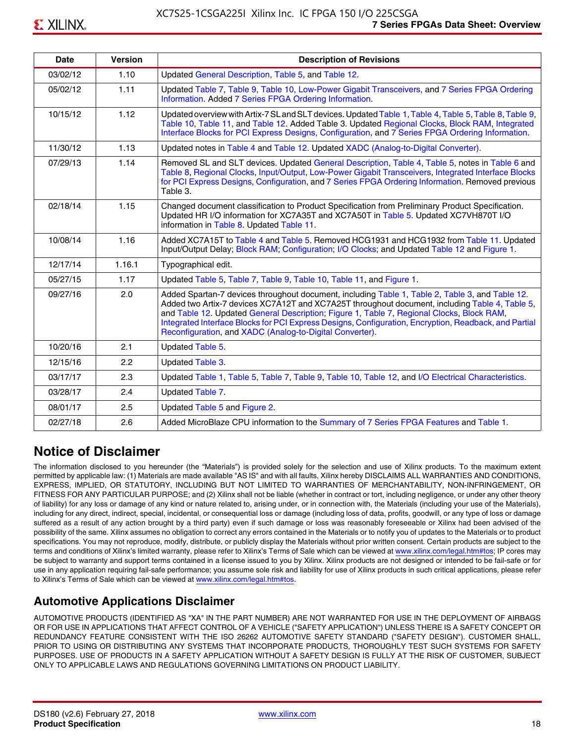| <b>Date</b> | <b>Version</b> | <b>Description of Revisions</b>                                                                                                                                                                                                                                                                                                                                                                                                                                     |
|-------------|----------------|---------------------------------------------------------------------------------------------------------------------------------------------------------------------------------------------------------------------------------------------------------------------------------------------------------------------------------------------------------------------------------------------------------------------------------------------------------------------|
| 03/02/12    | 1.10           | Updated General Description, Table 5, and Table 12.                                                                                                                                                                                                                                                                                                                                                                                                                 |
| 05/02/12    | 1.11           | Updated Table 7, Table 9, Table 10, Low-Power Gigabit Transceivers, and 7 Series FPGA Ordering<br>Information. Added 7 Series FPGA Ordering Information.                                                                                                                                                                                                                                                                                                            |
| 10/15/12    | 1.12           | Updated overview with Artix-7 SL and SLT devices. Updated Table 1, Table 4, Table 5, Table 8, Table 9,<br>Table 10, Table 11, and Table 12. Added Table 3. Updated Regional Clocks, Block RAM, Integrated<br>Interface Blocks for PCI Express Designs, Configuration, and 7 Series FPGA Ordering Information.                                                                                                                                                       |
| 11/30/12    | 1.13           | Updated notes in Table 4 and Table 12. Updated XADC (Analog-to-Digital Converter).                                                                                                                                                                                                                                                                                                                                                                                  |
| 07/29/13    | 1.14           | Removed SL and SLT devices. Updated General Description, Table 4, Table 5, notes in Table 6 and<br>Table 8, Regional Clocks, Input/Output, Low-Power Gigabit Transceivers, Integrated Interface Blocks<br>for PCI Express Designs, Configuration, and 7 Series FPGA Ordering Information. Removed previous<br>Table 3.                                                                                                                                              |
| 02/18/14    | 1.15           | Changed document classification to Product Specification from Preliminary Product Specification.<br>Updated HR I/O information for XC7A35T and XC7A50T in Table 5. Updated XC7VH870T I/O<br>information in Table 8. Updated Table 11.                                                                                                                                                                                                                               |
| 10/08/14    | 1.16           | Added XC7A15T to Table 4 and Table 5. Removed HCG1931 and HCG1932 from Table 11. Updated<br>Input/Output Delay; Block RAM; Configuration; I/O Clocks; and Updated Table 12 and Figure 1.                                                                                                                                                                                                                                                                            |
| 12/17/14    | 1.16.1         | Typographical edit.                                                                                                                                                                                                                                                                                                                                                                                                                                                 |
| 05/27/15    | 1.17           | Updated Table 5, Table 7, Table 9, Table 10, Table 11, and Figure 1.                                                                                                                                                                                                                                                                                                                                                                                                |
| 09/27/16    | 2.0            | Added Spartan-7 devices throughout document, including Table 1, Table 2, Table 3, and Table 12.<br>Added two Artix-7 devices XC7A12T and XC7A25T throughout document, including Table 4, Table 5,<br>and Table 12. Updated General Description; Figure 1, Table 7, Regional Clocks, Block RAM,<br>Integrated Interface Blocks for PCI Express Designs, Configuration, Encryption, Readback, and Partial<br>Reconfiguration, and XADC (Analog-to-Digital Converter). |
| 10/20/16    | 2.1            | Updated Table 5.                                                                                                                                                                                                                                                                                                                                                                                                                                                    |
| 12/15/16    | 2.2            | Updated Table 3.                                                                                                                                                                                                                                                                                                                                                                                                                                                    |
| 03/17/17    | 2.3            | Updated Table 1, Table 5, Table 7, Table 9, Table 10, Table 12, and I/O Electrical Characteristics.                                                                                                                                                                                                                                                                                                                                                                 |
| 03/28/17    | 2.4            | Updated Table 7.                                                                                                                                                                                                                                                                                                                                                                                                                                                    |
| 08/01/17    | 2.5            | Updated Table 5 and Figure 2.                                                                                                                                                                                                                                                                                                                                                                                                                                       |
| 02/27/18    | 2.6            | Added MicroBlaze CPU information to the Summary of 7 Series FPGA Features and Table 1.                                                                                                                                                                                                                                                                                                                                                                              |

### **Notice of Disclaimer**

The information disclosed to you hereunder (the "Materials") is provided solely for the selection and use of Xilinx products. To the maximum extent permitted by applicable law: (1) Materials are made available "AS IS" and with all faults, Xilinx hereby DISCLAIMS ALL WARRANTIES AND CONDITIONS, EXPRESS, IMPLIED, OR STATUTORY, INCLUDING BUT NOT LIMITED TO WARRANTIES OF MERCHANTABILITY, NON-INFRINGEMENT, OR FITNESS FOR ANY PARTICULAR PURPOSE; and (2) Xilinx shall not be liable (whether in contract or tort, including negligence, or under any other theory of liability) for any loss or damage of any kind or nature related to, arising under, or in connection with, the Materials (including your use of the Materials), including for any direct, indirect, special, incidental, or consequential loss or damage (including loss of data, profits, goodwill, or any type of loss or damage suffered as a result of any action brought by a third party) even if such damage or loss was reasonably foreseeable or Xilinx had been advised of the possibility of the same. Xilinx assumes no obligation to correct any errors contained in the Materials or to notify you of updates to the Materials or to product specifications. You may not reproduce, modify, distribute, or publicly display the Materials without prior written consent. Certain products are subject to the terms and conditions of Xilinx's limited warranty, please refer to Xilinx's Terms of Sale which can be viewed at [www.xilinx.com/legal.htm#tos;](www.xilinx.com/legal.htm#tos) IP cores may be subject to warranty and support terms contained in a license issued to you by Xilinx. Xilinx products are not designed or intended to be fail-safe or for use in any application requiring fail-safe performance; you assume sole risk and liability for use of Xilinx products in such critical applications, please refer to Xilinx's Terms of Sale which can be viewed at <www.xilinx.com/legal.htm#tos>.

### **Automotive Applications Disclaimer**

AUTOMOTIVE PRODUCTS (IDENTIFIED AS "XA" IN THE PART NUMBER) ARE NOT WARRANTED FOR USE IN THE DEPLOYMENT OF AIRBAGS OR FOR USE IN APPLICATIONS THAT AFFECT CONTROL OF A VEHICLE ("SAFETY APPLICATION") UNLESS THERE IS A SAFETY CONCEPT OR REDUNDANCY FEATURE CONSISTENT WITH THE ISO 26262 AUTOMOTIVE SAFETY STANDARD ("SAFETY DESIGN"). CUSTOMER SHALL, PRIOR TO USING OR DISTRIBUTING ANY SYSTEMS THAT INCORPORATE PRODUCTS, THOROUGHLY TEST SUCH SYSTEMS FOR SAFETY PURPOSES. USE OF PRODUCTS IN A SAFETY APPLICATION WITHOUT A SAFETY DESIGN IS FULLY AT THE RISK OF CUSTOMER, SUBJECT ONLY TO APPLICABLE LAWS AND REGULATIONS GOVERNING LIMITATIONS ON PRODUCT LIABILITY.